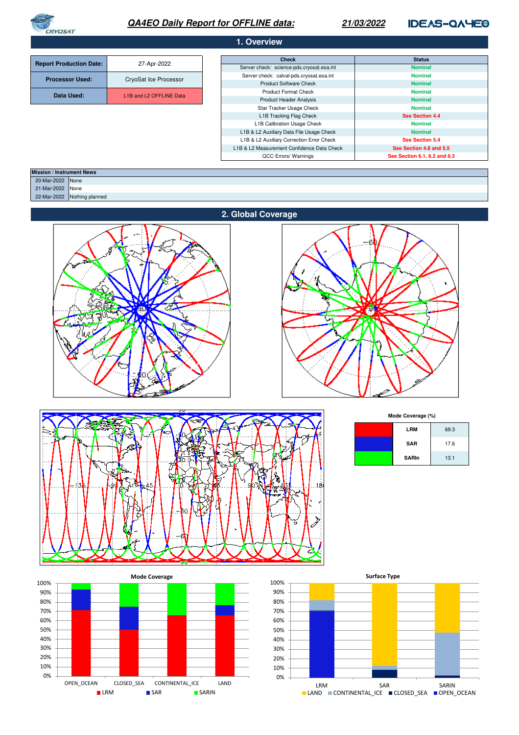

# **QA4EO Daily Report for OFFLINE data:**

## **21/03/2022**

# **IDEAS-QAYE®**

| 1. Overview                    |                                                  |                                            |                              |  |
|--------------------------------|--------------------------------------------------|--------------------------------------------|------------------------------|--|
|                                |                                                  | <b>Check</b>                               | <b>Status</b>                |  |
| <b>Report Production Date:</b> | 27-Apr-2022                                      | Server check: science-pds.cryosat.esa.int  | <b>Nominal</b>               |  |
| <b>Processor Used:</b>         | CryoSat Ice Processor                            | Server check: calval-pds.cryosat.esa.int   | <b>Nominal</b>               |  |
|                                |                                                  | <b>Product Software Check</b>              | <b>Nominal</b>               |  |
| Data Used:                     | L <sub>1</sub> B and L <sub>2</sub> OFFLINE Data | <b>Product Format Check</b>                | <b>Nominal</b>               |  |
|                                |                                                  | <b>Product Header Analysis</b>             | <b>Nominal</b>               |  |
|                                |                                                  | Star Tracker Usage Check                   | <b>Nominal</b>               |  |
|                                |                                                  | L1B Tracking Flag Check                    | See Section 4.4              |  |
|                                |                                                  | L1B Calibration Usage Check                | <b>Nominal</b>               |  |
|                                |                                                  | L1B & L2 Auxiliary Data File Usage Check   | <b>Nominal</b>               |  |
|                                |                                                  | L1B & L2 Auxiliary Correction Error Check  | See Section 5.4              |  |
|                                |                                                  | L1B & L2 Measurement Confidence Data Check | See Section 4.8 and 5.5      |  |
|                                |                                                  | QCC Errors/ Warnings                       | See Section 6.1, 6.2 and 6.3 |  |

| <b>Mission / Instrument News</b> |                             |
|----------------------------------|-----------------------------|
| 20-Mar-2022 None                 |                             |
| 21-Mar-2022 None                 |                             |
|                                  | 22-Mar-2022 Nothing planned |
|                                  |                             |







**Mode Coverage (%)**

| <b>LRM</b>   | 69.3 |
|--------------|------|
| <b>SAR</b>   | 17.6 |
| <b>SARIn</b> | 13.1 |



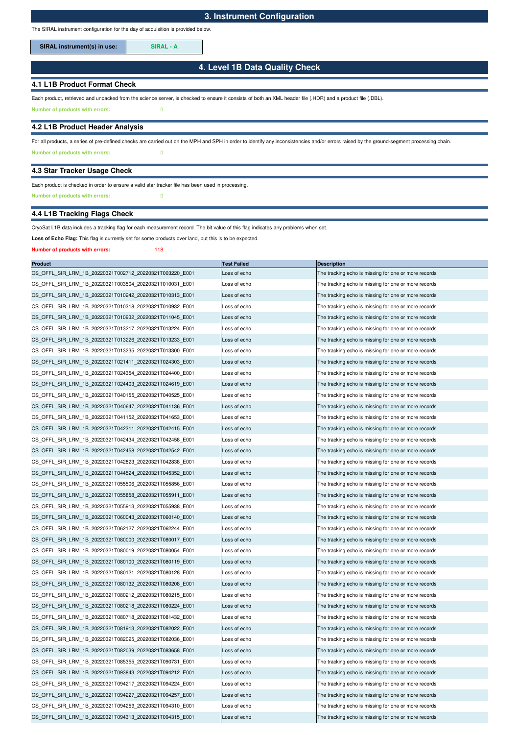The SIRAL instrument configuration for the day of acquisition is provided below.

SIRAL instrument(s) in use: **SIRAL - A** 

## **4. Level 1B Data Quality Check**

## **4.1 L1B Product Format Check**

Each product, retrieved and unpacked from the science server, is checked to ensure it consists of both an XML header file (.HDR) and a product file (.DBL).

**Number of products with errors:** 0

### **4.2 L1B Product Header Analysis**

**Number of products with errors:** 0 For all products, a series of pre-defined checks are carried out on the MPH and SPH in order to identify any inconsistencies and/or errors raised by the ground-segment processing chain.

### **4.3 Star Tracker Usage Check**

## Each product is checked in order to ensure a valid star tracker file has been used in processing.

**Number of products with errors:** 0

## **4.4 L1B Tracking Flags Check**

### CryoSat L1B data includes a tracking flag for each measurement record. The bit value of this flag indicates any problems when set.

**Loss of Echo Flag:** This flag is currently set for some products over land, but this is to be expected.

### **Number of products with errors:** 118

| <b>Product</b>                                          | <b>Test Failed</b> | <b>Description</b>                                   |
|---------------------------------------------------------|--------------------|------------------------------------------------------|
| CS OFFL SIR LRM 1B 20220321T002712 20220321T003220 E001 | Loss of echo       | The tracking echo is missing for one or more records |
| CS OFFL SIR LRM 1B 20220321T003504 20220321T010031 E001 | Loss of echo       | The tracking echo is missing for one or more records |
| CS_OFFL_SIR_LRM_1B_20220321T010242_20220321T010313_E001 | Loss of echo       | The tracking echo is missing for one or more records |
| CS OFFL SIR LRM 1B 20220321T010318 20220321T010932 E001 | Loss of echo       | The tracking echo is missing for one or more records |
| CS OFFL SIR LRM 1B 20220321T010932 20220321T011045 E001 | Loss of echo       | The tracking echo is missing for one or more records |
| CS_OFFL_SIR_LRM_1B_20220321T013217_20220321T013224_E001 | Loss of echo       | The tracking echo is missing for one or more records |
| CS_OFFL_SIR_LRM_1B_20220321T013226_20220321T013233_E001 | Loss of echo       | The tracking echo is missing for one or more records |
| CS_OFFL_SIR_LRM_1B_20220321T013235_20220321T013300_E001 | Loss of echo       | The tracking echo is missing for one or more records |
| CS_OFFL_SIR_LRM_1B_20220321T021411_20220321T024303_E001 | Loss of echo       | The tracking echo is missing for one or more records |
| CS_OFFL_SIR_LRM_1B_20220321T024354_20220321T024400_E001 | Loss of echo       | The tracking echo is missing for one or more records |
| CS OFFL SIR LRM 1B 20220321T024403 20220321T024619 E001 | Loss of echo       | The tracking echo is missing for one or more records |
| CS_OFFL_SIR_LRM_1B_20220321T040155_20220321T040525_E001 | Loss of echo       | The tracking echo is missing for one or more records |
| CS_OFFL_SIR_LRM_1B_20220321T040647_20220321T041136_E001 | Loss of echo       | The tracking echo is missing for one or more records |
| CS_OFFL_SIR_LRM_1B_20220321T041152_20220321T041653_E001 | Loss of echo       | The tracking echo is missing for one or more records |
| CS OFFL SIR LRM 1B 20220321T042311 20220321T042415 E001 | Loss of echo       | The tracking echo is missing for one or more records |
| CS_OFFL_SIR_LRM_1B_20220321T042434_20220321T042458_E001 | Loss of echo       | The tracking echo is missing for one or more records |
| CS OFFL SIR LRM 1B 20220321T042458 20220321T042542 E001 | Loss of echo       | The tracking echo is missing for one or more records |
| CS_OFFL_SIR_LRM_1B_20220321T042823_20220321T042838_E001 | Loss of echo       | The tracking echo is missing for one or more records |
| CS OFFL SIR LRM 1B 20220321T044524 20220321T045352 E001 | Loss of echo       | The tracking echo is missing for one or more records |
| CS_OFFL_SIR_LRM_1B_20220321T055506_20220321T055856_E001 | Loss of echo       | The tracking echo is missing for one or more records |
| CS_OFFL_SIR_LRM_1B_20220321T055858_20220321T055911_E001 | Loss of echo       | The tracking echo is missing for one or more records |
| CS OFFL SIR LRM 1B 20220321T055913 20220321T055938 E001 | Loss of echo       | The tracking echo is missing for one or more records |
| CS_OFFL_SIR_LRM_1B_20220321T060043_20220321T060140_E001 | Loss of echo       | The tracking echo is missing for one or more records |
| CS_OFFL_SIR_LRM_1B_20220321T062127_20220321T062244_E001 | Loss of echo       | The tracking echo is missing for one or more records |
| CS_OFFL_SIR_LRM_1B_20220321T080000_20220321T080017_E001 | Loss of echo       | The tracking echo is missing for one or more records |
| CS_OFFL_SIR_LRM_1B_20220321T080019_20220321T080054_E001 | Loss of echo       | The tracking echo is missing for one or more records |
| CS_OFFL_SIR_LRM_1B_20220321T080100_20220321T080119_E001 | Loss of echo       | The tracking echo is missing for one or more records |
| CS_OFFL_SIR_LRM_1B_20220321T080121_20220321T080128_E001 | Loss of echo       | The tracking echo is missing for one or more records |
| CS_OFFL_SIR_LRM_1B_20220321T080132_20220321T080208_E001 | Loss of echo       | The tracking echo is missing for one or more records |
| CS_OFFL_SIR_LRM_1B_20220321T080212_20220321T080215_E001 | Loss of echo       | The tracking echo is missing for one or more records |
| CS OFFL SIR LRM 1B 20220321T080218 20220321T080224 E001 | Loss of echo       | The tracking echo is missing for one or more records |
| CS_OFFL_SIR_LRM_1B_20220321T080718_20220321T081432_E001 | Loss of echo       | The tracking echo is missing for one or more records |
| CS_OFFL_SIR_LRM_1B_20220321T081913_20220321T082022_E001 | Loss of echo       | The tracking echo is missing for one or more records |
| CS OFFL SIR LRM 1B 20220321T082025 20220321T082036 E001 | Loss of echo       | The tracking echo is missing for one or more records |
| CS_OFFL_SIR_LRM_1B_20220321T082039_20220321T083658_E001 | Loss of echo       | The tracking echo is missing for one or more records |
| CS OFFL SIR LRM 1B 20220321T085355 20220321T090731 E001 | Loss of echo       | The tracking echo is missing for one or more records |
| CS OFFL SIR LRM 1B 20220321T093843 20220321T094212 E001 | Loss of echo       | The tracking echo is missing for one or more records |
| CS_OFFL_SIR_LRM_1B_20220321T094217_20220321T094224_E001 | Loss of echo       | The tracking echo is missing for one or more records |
| CS OFFL SIR LRM 1B 20220321T094227 20220321T094257 E001 | Loss of echo       | The tracking echo is missing for one or more records |
| CS OFFL SIR LRM 1B 20220321T094259 20220321T094310 E001 | Loss of echo       | The tracking echo is missing for one or more records |
| CS OFFL SIR LRM 1B 20220321T094313 20220321T094315 E001 | Loss of echo       | The tracking echo is missing for one or more records |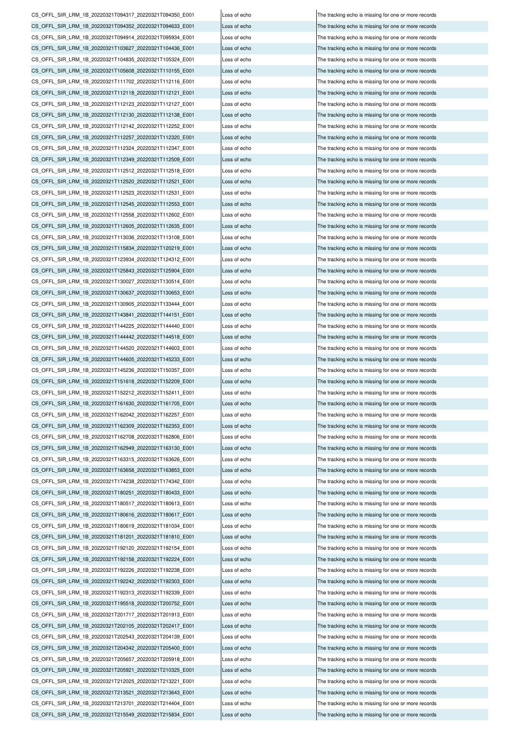CS\_OFFL\_SIR\_LRM\_1B\_20220321T205657\_20220321T205918\_E001 Loss of echo The tracking echo is missing for one or more records CS\_OFFL\_SIR\_LRM\_1B\_20220321T205921\_20220321T210325\_E001 Loss of echo The tracking echo is missing for one or more records CS\_OFFL\_SIR\_LRM\_1B\_20220321T212025\_20220321T213221\_E001 Loss of echo The tracking echo is missing for one or more records CS\_OFFL\_SIR\_LRM\_1B\_20220321T213521\_20220321T213643\_E001 Loss of echo The tracking echo is missing for one or more records CS\_OFFL\_SIR\_LRM\_1B\_20220321T213701\_20220321T214404\_E001 Loss of echo The tracking echo is missing for one or more records CS\_OFFL\_SIR\_LRM\_1B\_20220321T215549\_20220321T215834\_E001 Loss of echo CS\_OFFL\_SIR\_LRM\_1B\_20220321T192158\_20220321T192224\_E001 Loss of echo The tracking echo is missing for one or more records CS\_OFFL\_SIR\_LRM\_1B\_20220321T192226\_20220321T192238\_E001 Loss of echo The tracking echo is missing for one or more records  $\overline{C}$ CS OFFL SIR\_LRM\_1B\_20220321T192242\_20220321T192303\_E001 Loss of echo  $\overline{C}$  The tracking echo is missing for one or more records CS\_OFFL\_SIR\_LRM\_1B\_20220321T192313\_20220321T192339\_E001 Loss of echo CS\_OFFL\_SIR\_LRM\_1B\_20220321T195518\_20220321T200752\_E001 Loss of echo The tracking echo is missing for one or more records CS\_OFFL\_SIR\_LRM\_1B\_20220321T201717\_20220321T201913\_E001 Loss of echo The tracking echo is missing for one or more records CS\_OFFL\_SIR\_LRM\_1B\_20220321T202105\_20220321T202417\_E001 Loss of echo The tracking echo is missing for one or more records CS\_OFFL\_SIR\_LRM\_1B\_20220321T202543\_20220321T204139\_E001 Loss of echo The tracking echo is missing for one or more records CS\_OFFL\_SIR\_LRM\_1B\_20220321T204342\_20220321T205400\_E001 Loss of echo The tracking echo is missing for one or more records CS\_OFFL\_SIR\_LRM\_1B\_20220321T162708\_20220321T162806\_E001 Loss of echo The tracking echo is missing for one or more records CS\_OFFL\_SIR\_LRM\_1B\_20220321T162949\_20220321T163130\_E001 Loss of echo The tracking echo is missing for one or more records CS\_OFFL\_SIR\_LRM\_1B\_20220321T163315\_20220321T163626\_E001 Loss of echo The tracking echo is missing for one or more records CS\_OFFL\_SIR\_LRM\_1B\_20220321T163658\_20220321T163853\_E001 Loss of echo The tracking echo is missing for one or more records CS\_OFFL\_SIR\_LRM\_1B\_20220321T174238\_20220321T174342\_E001 Loss of echo The tracking echo is missing for one or more records CS\_OFFL\_SIR\_LRM\_1B\_20220321T180251\_20220321T180433\_E001 Loss of echo The tracking echo is missing for one or more records CS\_OFFL\_SIR\_LRM\_1B\_20220321T180517\_20220321T180613\_E001 Loss of echo The tracking echo is missing for one or more records CS\_OFFL\_SIR\_LRM\_1B\_20220321T180616\_20220321T180617\_E001 Loss of echo The tracking echo The tracking echo is missing for one or more records CS\_OFFL\_SIR\_LRM\_1B\_20220321T180619\_20220321T181034\_E001 Loss of echo The tracking echo is missing for one or more records CS\_OFFL\_SIR\_LRM\_1B\_20220321T181201\_20220321T181810\_E001 Loss of echo The tracking echo is missing for one or more records CS\_OFFL\_SIR\_LRM\_1B\_20220321T192120\_20220321T192154\_E001 CS\_OFFL\_SIR\_LRM\_1B\_20220321T145236\_20220321T150357\_E001 Loss of echo The tracking echo is missing for one or more records CS\_OFFL\_SIR\_LRM\_1B\_20220321T151618\_20220321T152209\_E001 Loss of echo The tracking echo is missing for one or more records CS\_OFFL\_SIR\_LRM\_1B\_20220321T152212\_20220321T152411\_E001 Loss of echo The tracking echo is missing for one or more records CS\_OFFL\_SIR\_LRM\_1B\_20220321T161630\_20220321T161705\_E001 Loss of echo The tracking echo is missing for one or more records CS\_OFFL\_SIR\_LRM\_1B\_20220321T162042\_20220321T162257\_E001 Loss of echo The tracking echo is missing for one or more records CS\_OFFL\_SIR\_LRM\_1B\_20220321T162309\_20220321T162353\_E001 Loss of echo The tracking echo is missing for one or more records CS\_OFFL\_SIR\_LRM\_1B\_20220321T130905\_20220321T133444\_E001 Loss of echo The tracking echo is missing for one or more records CS\_OFFL\_SIR\_LRM\_1B\_20220321T143841\_20220321T144151\_E001 Loss of echo The tracking echo is missing for one or more records CS\_OFFL\_SIR\_LRM\_1B\_20220321T144225\_20220321T144440\_E001 Loss of echo The tracking echo is missing for one or more records CS\_OFFL\_SIR\_LRM\_1B\_20220321T144442\_20220321T144518\_E001 Loss of echo The tracking echo is missing for one or more records CS\_OFFL\_SIR\_LRM\_1B\_20220321T144520\_20220321T144603\_E001 Loss of echo The tracking echo is missing for one or more records CS\_OFFL\_SIR\_LRM\_1B\_20220321T144605\_20220321T145233\_E001 Loss of echo The tracking echo is missing for one or more records CS\_OFFL\_SIR\_LRM\_1B\_20220321T113036\_20220321T113108\_E001 Loss of echo The tracking echo is missing for one or more records CS\_OFFL\_SIR\_LRM\_1B\_20220321T115834\_20220321T120219\_E001 Loss of echo The tracking echo is missing for one or more records CS\_OFFL\_SIR\_LRM\_1B\_20220321T123934\_20220321T124312\_E001 Loss of echo The tracking echo is missing for one or more records CS\_OFFL\_SIR\_LRM\_1B\_20220321T125843\_20220321T125904\_E001 Loss of echo The tracking echo is missing for one or more records CS\_OFFL\_SIR\_LRM\_1B\_20220321T130027\_20220321T130514\_E001 Loss of echo The tracking echo is missing for one or more records CS\_OFFL\_SIR\_LRM\_1B\_20220321T130637\_20220321T130653\_E001 Loss of echo The tracking echo is missing for one or more records CS\_OFFL\_SIR\_LRM\_1B\_20220321T112512\_20220321T112518\_E001 Loss of echo The tracking echo is missing for one or more records CS\_OFFL\_SIR\_LRM\_1B\_20220321T112520\_20220321T112521\_E001 Loss of echo The tracking echo is missing for one or more records CS\_OFFL\_SIR\_LRM\_1B\_20220321T112523\_20220321T112531\_E001 Loss of echo The tracking echo is missing for one or more records CS\_OFFL\_SIR\_LRM\_1B\_20220321T112545\_20220321T112553\_E001 Loss of echo The tracking echo is missing for one or more records CS\_OFFL\_SIR\_LRM\_1B\_20220321T112558\_20220321T112602\_E001 Loss of echo The tracking echo is missing for one or more records CS\_OFFL\_SIR\_LRM\_1B\_20220321T112605\_20220321T112635\_E001 Loss of echo The tracking echo is missing for one or more records CS\_OFFL\_SIR\_LRM\_1B\_20220321T112123\_20220321T112127\_E001 Loss of echo The tracking echo is missing for one or more records CS\_OFFL\_SIR\_LRM\_1B\_20220321T112130\_20220321T112138\_E001 Loss of echo The tracking echo is missing for one or more records CS\_OFFL\_SIR\_LRM\_1B\_20220321T112142\_20220321T112252\_E001 Loss of echo The tracking echo is missing for one or more records CS\_OFFL\_SIR\_LRM\_1B\_20220321T112257\_20220321T112320\_E001 Loss of echo The tracking echo is missing for one or more records CS\_OFFL\_SIR\_LRM\_1B\_20220321T112324\_20220321T112347\_E001 Loss of echo The tracking echo is missing for one or more records CS\_OFFL\_SIR\_LRM\_1B\_20220321T112349\_20220321T112509\_E001 Loss of echo The tracking echo is missing for one or more records CS\_OFFL\_SIR\_LRM\_1B\_20220321T094914\_20220321T095934\_E001 Loss of echo The tracking echo is missing for one or more records CS\_OFFL\_SIR\_LRM\_1B\_20220321T103627\_20220321T104436\_E001 Loss of echo The tracking echo is missing for one or more records CS\_OFFL\_SIR\_LRM\_1B\_20220321T104835\_20220321T105324\_E001 Loss of echo The tracking echo is missing for one or more records CS\_OFFL\_SIR\_LRM\_1B\_20220321T105608\_20220321T110155\_E001 Loss of echo The tracking echo is missing for one or more records CS\_OFFL\_SIR\_LRM\_1B\_20220321T111702\_20220321T112116\_E001 Loss of echo The tracking echo is missing for one or more records CS\_OFFL\_SIR\_LRM\_1B\_20220321T112118\_20220321T112121\_E001 Loss of echo The tracking echo is missing for one or more records CS\_OFFL\_SIR\_LRM\_1B\_20220321T094317\_20220321T094350\_E001 Loss of echo The tracking echo is missing for one or more records CS\_OFFL\_SIR\_LRM\_1B\_20220321T094352\_20220321T094633\_E001 Loss of echo The tracking echo is missing for one or more records

Loss of echo The tracking echo is missing for one or more records The tracking echo is missing for one or more records The tracking echo is missing for one or more records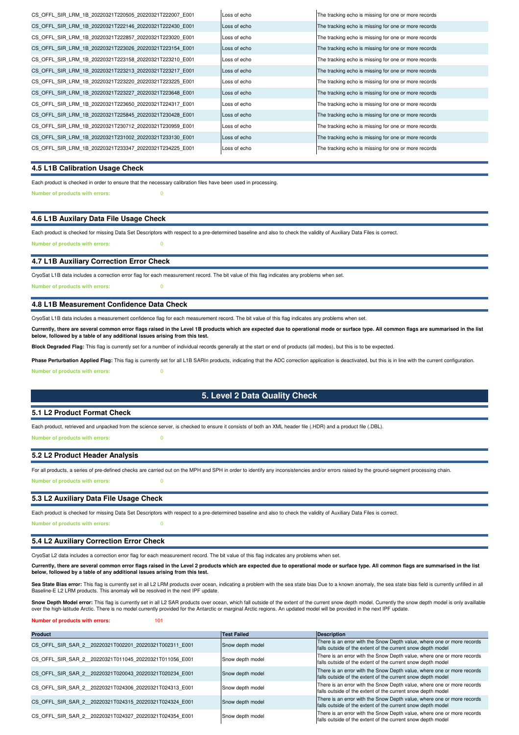| CS OFFL SIR LRM 1B 20220321T220505 20220321T222007 E001 | Loss of echo | The tracking echo is missing for one or more records |
|---------------------------------------------------------|--------------|------------------------------------------------------|
| CS OFFL SIR LRM 1B 20220321T222146 20220321T222430 E001 | Loss of echo | The tracking echo is missing for one or more records |
| CS OFFL SIR LRM 1B 20220321T222857 20220321T223020 E001 | Loss of echo | The tracking echo is missing for one or more records |
| CS OFFL SIR LRM 1B 20220321T223026 20220321T223154 E001 | Loss of echo | The tracking echo is missing for one or more records |
| CS OFFL SIR LRM 1B 20220321T223158 20220321T223210 E001 | Loss of echo | The tracking echo is missing for one or more records |
| CS OFFL SIR LRM 1B 20220321T223213 20220321T223217 E001 | Loss of echo | The tracking echo is missing for one or more records |
| CS OFFL SIR LRM 1B 20220321T223220 20220321T223225 E001 | Loss of echo | The tracking echo is missing for one or more records |
| CS OFFL SIR LRM 1B 20220321T223227 20220321T223648 E001 | Loss of echo | The tracking echo is missing for one or more records |
| CS OFFL SIR LRM 1B 20220321T223650 20220321T224317 E001 | Loss of echo | The tracking echo is missing for one or more records |
| CS OFFL SIR LRM 1B 20220321T225845 20220321T230428 E001 | Loss of echo | The tracking echo is missing for one or more records |
| CS OFFL SIR LRM 1B 20220321T230712 20220321T230959 E001 | Loss of echo | The tracking echo is missing for one or more records |
| CS OFFL SIR LRM 1B 20220321T231002 20220321T233130 E001 | Loss of echo | The tracking echo is missing for one or more records |
| CS OFFL SIR LRM 1B 20220321T233347 20220321T234225 E001 | Loss of echo | The tracking echo is missing for one or more records |
|                                                         |              |                                                      |

## **4.5 L1B Calibration Usage Check**

**Number of products with errors:** 0 Each product is checked in order to ensure that the necessary calibration files have been used in processing.

## **4.6 L1B Auxilary Data File Usage Check**

Each product is checked for missing Data Set Descriptors with respect to a pre-determined baseline and also to check the validity of Auxiliary Data Files is correct. **Number of products with errors:** 0

### **4.7 L1B Auxiliary Correction Error Check**

CryoSat L1B data includes a correction error flag for each measurement record. The bit value of this flag indicates any problems when set.

**Number of products with errors:** 0

## **4.8 L1B Measurement Confidence Data Check**

CryoSat L1B data includes a measurement confidence flag for each measurement record. The bit value of this flag indicates any problems when set.

Currently, there are several common error flags raised in the Level 1B products which are expected due to operational mode or surface type. All common flags are summarised in the list<br>below, followed by a table of any addi

**Block Degraded Flag:** This flag is currently set for a number of individual records generally at the start or end of products (all modes), but this is to be expected.

**Number of products with errors:** 0 **Phase Perturbation Applied Flag:** This flag is currently set for all L1B SARIn products, indicating that the ADC correction application is deactivated, but this is in line with the current configuration.

## **5. Level 2 Data Quality Check**

### **5.1 L2 Product Format Check**

Each product, retrieved and unpacked from the science server, is checked to ensure it consists of both an XML header file (.HDR) and a product file (.DBL).

**Number of products with errors:** 0

#### **5.2 L2 Product Header Analysis**

For all products, a series of pre-defined checks are carried out on the MPH and SPH in order to identify any inconsistencies and/or errors raised by the ground-segment processing chain.

**Number of products with errors:** 0

#### **5.3 L2 Auxiliary Data File Usage Check**

Each product is checked for missing Data Set Descriptors with respect to a pre-determined baseline and also to check the validity of Auxiliary Data Files is correct.

**Number of products with errors:** 

#### **5.4 L2 Auxiliary Correction Error Check**

CryoSat L2 data includes a correction error flag for each measurement record. The bit value of this flag indicates any problems when set.

**Currently, there are several common error flags raised in the Level 2 products which are expected due to operational mode or surface type. All common flags are summarised in the list below, followed by a table of any additional issues arising from this test.**

Sea State Bias error: This flag is currently set in all L2 LRM products over ocean, indicating a problem with the sea state bias Due to a known anomaly, the sea state bias field is currently unfilled in all Baseline-E L2 LRM products. This anomaly will be resolved in the next IPF update.

Snow Depth Model error: This flag is currently set in all L2 SAR products over ocean, which fall outside of the extent of the current snow depth model. Currently the snow depth model is only availlable over the high-latitude Arctic. There is no model currently provided for the Antarctic or marginal Arctic regions. An updated model will be provided in the next IPF update.

#### **Number of products with errors:** 101

| <b>Product</b>                                         | <b>Test Failed</b> | <b>Description</b>                                                                                                                    |
|--------------------------------------------------------|--------------------|---------------------------------------------------------------------------------------------------------------------------------------|
| CS OFFL SIR SAR 2 20220321T002201 20220321T002311 E001 | Snow depth model   | There is an error with the Snow Depth value, where one or more records<br>falls outside of the extent of the current snow depth model |
| CS OFFL SIR SAR 2 20220321T011045 20220321T011056 E001 | Snow depth model   | There is an error with the Snow Depth value, where one or more records<br>falls outside of the extent of the current snow depth model |
| CS OFFL SIR SAR 2 20220321T020043 20220321T020234 E001 | Snow depth model   | There is an error with the Snow Depth value, where one or more records<br>falls outside of the extent of the current snow depth model |
| CS OFFL SIR SAR 2 20220321T024306 20220321T024313 E001 | Snow depth model   | There is an error with the Snow Depth value, where one or more records<br>falls outside of the extent of the current snow depth model |
| CS OFFL SIR SAR 2 20220321T024315 20220321T024324 E001 | Snow depth model   | There is an error with the Snow Depth value, where one or more records<br>falls outside of the extent of the current snow depth model |
| CS OFFL SIR SAR 2 20220321T024327 20220321T024354 E001 | Snow depth model   | There is an error with the Snow Depth value, where one or more records<br>falls outside of the extent of the current snow depth model |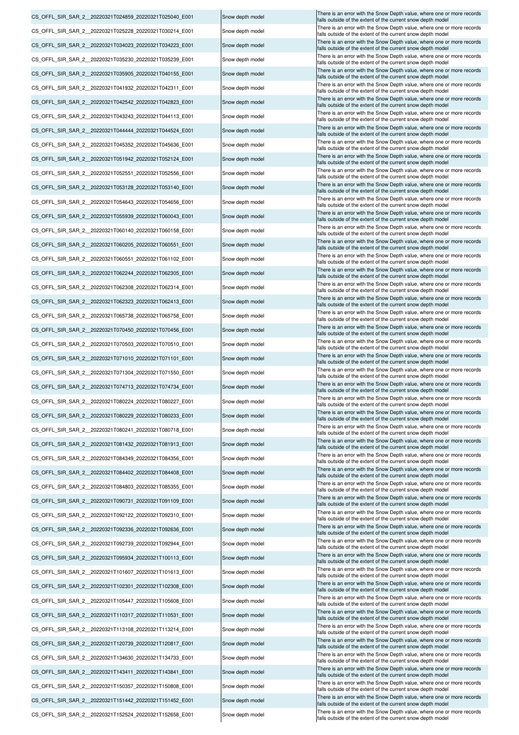|                                                        |                  | There is an error with the Snow Depth value, where one or more records                                                                |
|--------------------------------------------------------|------------------|---------------------------------------------------------------------------------------------------------------------------------------|
| CS_OFFL_SIR_SAR_2_20220321T024859_20220321T025040_E001 | Snow depth model | falls outside of the extent of the current snow depth model                                                                           |
| CS OFFL SIR SAR 2 20220321T025228 20220321T030214 E001 | Snow depth model | There is an error with the Snow Depth value, where one or more records<br>falls outside of the extent of the current snow depth model |
| CS OFFL SIR SAR 2 20220321T034023 20220321T034223 E001 | Snow depth model | There is an error with the Snow Depth value, where one or more records<br>falls outside of the extent of the current snow depth model |
| CS OFFL SIR SAR 2 20220321T035230 20220321T035239 E001 | Snow depth model | There is an error with the Snow Depth value, where one or more records<br>falls outside of the extent of the current snow depth model |
| CS_OFFL_SIR_SAR_2_20220321T035905_20220321T040155_E001 | Snow depth model | There is an error with the Snow Depth value, where one or more records<br>falls outside of the extent of the current snow depth model |
| CS_OFFL_SIR_SAR_2_20220321T041932_20220321T042311_E001 | Snow depth model | There is an error with the Snow Depth value, where one or more records<br>falls outside of the extent of the current snow depth model |
| CS OFFL SIR SAR 2 20220321T042542 20220321T042823 E001 | Snow depth model | There is an error with the Snow Depth value, where one or more records                                                                |
| CS OFFL SIR SAR 2 20220321T043243 20220321T044113 E001 | Snow depth model | falls outside of the extent of the current snow depth model<br>There is an error with the Snow Depth value, where one or more records |
| CS OFFL SIR SAR 2 20220321T044444 20220321T044524 E001 | Snow depth model | falls outside of the extent of the current snow depth model<br>There is an error with the Snow Depth value, where one or more records |
|                                                        |                  | falls outside of the extent of the current snow depth model<br>There is an error with the Snow Depth value, where one or more records |
| CS_OFFL_SIR_SAR_2_20220321T045352_20220321T045636_E001 | Snow depth model | falls outside of the extent of the current snow depth model<br>There is an error with the Snow Depth value, where one or more records |
| CS OFFL SIR SAR 2 20220321T051942 20220321T052124 E001 | Snow depth model | falls outside of the extent of the current snow depth model<br>There is an error with the Snow Depth value, where one or more records |
| CS OFFL SIR SAR 2 20220321T052551 20220321T052556 E001 | Snow depth model | falls outside of the extent of the current snow depth model                                                                           |
| CS_OFFL_SIR_SAR_2_20220321T053128_20220321T053140_E001 | Snow depth model | There is an error with the Snow Depth value, where one or more records<br>falls outside of the extent of the current snow depth model |
| CS OFFL SIR SAR 2 20220321T054643 20220321T054656 E001 | Snow depth model | There is an error with the Snow Depth value, where one or more records<br>falls outside of the extent of the current snow depth model |
| CS_OFFL_SIR_SAR_2_20220321T055939_20220321T060043_E001 | Snow depth model | There is an error with the Snow Depth value, where one or more records<br>falls outside of the extent of the current snow depth model |
| CS OFFL SIR SAR 2 20220321T060140 20220321T060158 E001 | Snow depth model | There is an error with the Snow Depth value, where one or more records<br>falls outside of the extent of the current snow depth model |
| CS_OFFL_SIR_SAR_2_20220321T060205_20220321T060551_E001 | Snow depth model | There is an error with the Snow Depth value, where one or more records<br>falls outside of the extent of the current snow depth model |
| CS_OFFL_SIR_SAR_2_20220321T060551_20220321T061102_E001 | Snow depth model | There is an error with the Snow Depth value, where one or more records<br>falls outside of the extent of the current snow depth model |
| CS_OFFL_SIR_SAR_2_20220321T062244_20220321T062305_E001 | Snow depth model | There is an error with the Snow Depth value, where one or more records<br>falls outside of the extent of the current snow depth model |
| CS OFFL SIR SAR 2 20220321T062308 20220321T062314 E001 | Snow depth model | There is an error with the Snow Depth value, where one or more records                                                                |
| CS OFFL SIR SAR 2 20220321T062323 20220321T062413 E001 | Snow depth model | falls outside of the extent of the current snow depth model<br>There is an error with the Snow Depth value, where one or more records |
| CS_OFFL_SIR_SAR_2_20220321T065738_20220321T065758_E001 | Snow depth model | falls outside of the extent of the current snow depth model<br>There is an error with the Snow Depth value, where one or more records |
| CS_OFFL_SIR_SAR_2_20220321T070450_20220321T070456_E001 | Snow depth model | falls outside of the extent of the current snow depth model<br>There is an error with the Snow Depth value, where one or more records |
|                                                        | Snow depth model | falls outside of the extent of the current snow depth model<br>There is an error with the Snow Depth value, where one or more records |
| CS_OFFL_SIR_SAR_2_20220321T070503_20220321T070510_E001 |                  | falls outside of the extent of the current snow depth model<br>There is an error with the Snow Depth value, where one or more records |
| CS_OFFL_SIR_SAR_2_20220321T071010_20220321T071101_E001 | Snow depth model | falls outside of the extent of the current snow depth model<br>There is an error with the Snow Depth value, where one or more records |
| CS OFFL SIR SAR 2 20220321T071304 20220321T071550 E001 | Snow depth model | falls outside of the extent of the current snow depth model<br>There is an error with the Snow Depth value, where one or more records |
| CS OFFL SIR SAR 2 20220321T074713 20220321T074734 E001 | Snow depth model | falls outside of the extent of the current snow depth model<br>There is an error with the Snow Depth value, where one or more records |
| CS_OFFL_SIR_SAR_2_20220321T080224_20220321T080227_E001 | Snow depth model | falls outside of the extent of the current snow depth model<br>There is an error with the Snow Depth value, where one or more records |
| CS OFFL SIR SAR 2 20220321T080229 20220321T080233 E001 | Snow depth model | falls outside of the extent of the current snow depth model                                                                           |
| CS OFFL SIR SAR 2 20220321T080241 20220321T080718 E001 | Snow depth model | There is an error with the Snow Depth value, where one or more records<br>falls outside of the extent of the current snow depth model |
| CS_OFFL_SIR_SAR_2_20220321T081432_20220321T081913_E001 | Snow depth model | There is an error with the Snow Depth value, where one or more records<br>falls outside of the extent of the current snow depth model |
| CS OFFL SIR SAR_2_20220321T084349_20220321T084356_E001 | Snow depth model | There is an error with the Snow Depth value, where one or more records<br>falls outside of the extent of the current snow depth model |
| CS_OFFL_SIR_SAR_2_20220321T084402_20220321T084408_E001 | Snow depth model | There is an error with the Snow Depth value, where one or more records<br>falls outside of the extent of the current snow depth model |
| CS OFFL SIR SAR 2 20220321T084803 20220321T085355 E001 | Snow depth model | There is an error with the Snow Depth value, where one or more records<br>falls outside of the extent of the current snow depth model |
| CS_OFFL_SIR_SAR_2_20220321T090731_20220321T091109_E001 | Snow depth model | There is an error with the Snow Depth value, where one or more records<br>falls outside of the extent of the current snow depth model |
| CS_OFFL_SIR_SAR_2_20220321T092122_20220321T092310_E001 | Snow depth model | There is an error with the Snow Depth value, where one or more records<br>falls outside of the extent of the current snow depth model |
| CS OFFL SIR SAR 2 20220321T092336 20220321T092636 E001 | Snow depth model | There is an error with the Snow Depth value, where one or more records<br>falls outside of the extent of the current snow depth model |
| CS OFFL SIR SAR 2 20220321T092739 20220321T092944 E001 | Snow depth model | There is an error with the Snow Depth value, where one or more records<br>falls outside of the extent of the current snow depth model |
| CS_OFFL_SIR_SAR_2_20220321T095934_20220321T100113_E001 | Snow depth model | There is an error with the Snow Depth value, where one or more records<br>falls outside of the extent of the current snow depth model |
| CS_OFFL_SIR_SAR_2_20220321T101607_20220321T101613_E001 | Snow depth model | There is an error with the Snow Depth value, where one or more records                                                                |
| CS_OFFL_SIR_SAR_2_20220321T102301_20220321T102308_E001 | Snow depth model | falls outside of the extent of the current snow depth model<br>There is an error with the Snow Depth value, where one or more records |
| CS_OFFL_SIR_SAR_2_20220321T105447_20220321T105608_E001 | Snow depth model | falls outside of the extent of the current snow depth model<br>There is an error with the Snow Depth value, where one or more records |
| CS OFFL SIR SAR 2 20220321T110317 20220321T110531 E001 | Snow depth model | falls outside of the extent of the current snow depth model<br>There is an error with the Snow Depth value, where one or more records |
|                                                        |                  | falls outside of the extent of the current snow depth model<br>There is an error with the Snow Depth value, where one or more records |
| CS_OFFL_SIR_SAR_2_20220321T113108_20220321T113214_E001 | Snow depth model | falls outside of the extent of the current snow depth model<br>There is an error with the Snow Depth value, where one or more records |
| CS_OFFL_SIR_SAR_2_20220321T120739_20220321T120817_E001 | Snow depth model | falls outside of the extent of the current snow depth model<br>There is an error with the Snow Depth value, where one or more records |
| CS OFFL SIR SAR 2 20220321T134630 20220321T134733 E001 | Snow depth model | falls outside of the extent of the current snow depth model<br>There is an error with the Snow Depth value, where one or more records |
| CS_OFFL_SIR_SAR_2_20220321T143411_20220321T143841_E001 | Snow depth model | falls outside of the extent of the current snow depth model<br>There is an error with the Snow Depth value, where one or more records |
| CS_OFFL_SIR_SAR_2_20220321T150357_20220321T150808_E001 | Snow depth model | falls outside of the extent of the current snow depth model                                                                           |
| CS OFFL SIR SAR 2 20220321T151442 20220321T151452 E001 | Snow depth model | There is an error with the Snow Depth value, where one or more records<br>falls outside of the extent of the current snow depth model |
| CS_OFFL_SIR_SAR_2_20220321T152524_20220321T152658_E001 | Snow depth model | There is an error with the Snow Depth value, where one or more records<br>falls outside of the extent of the current snow depth model |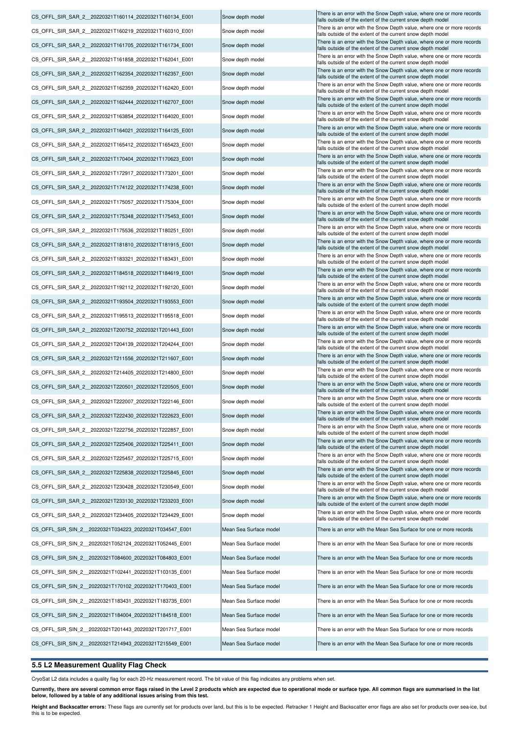| CS_OFFL_SIR_SAR_2__20220321T160114_20220321T160134_E001 | Snow depth model       | There is an error with the Snow Depth value, where one or more records<br>falls outside of the extent of the current snow depth model |
|---------------------------------------------------------|------------------------|---------------------------------------------------------------------------------------------------------------------------------------|
| CS OFFL SIR SAR 2 20220321T160219 20220321T160310 E001  | Snow depth model       | There is an error with the Snow Depth value, where one or more records<br>falls outside of the extent of the current snow depth model |
| CS_OFFL_SIR_SAR_2__20220321T161705_20220321T161734_E001 | Snow depth model       | There is an error with the Snow Depth value, where one or more records<br>falls outside of the extent of the current snow depth model |
| CS OFFL SIR SAR 2 20220321T161858 20220321T162041 E001  | Snow depth model       | There is an error with the Snow Depth value, where one or more records<br>falls outside of the extent of the current snow depth model |
| CS OFFL SIR SAR 2 20220321T162354 20220321T162357 E001  | Snow depth model       | There is an error with the Snow Depth value, where one or more records<br>falls outside of the extent of the current snow depth model |
| CS OFFL SIR SAR 2 20220321T162359 20220321T162420 E001  | Snow depth model       | There is an error with the Snow Depth value, where one or more records                                                                |
| CS_OFFL_SIR_SAR_2__20220321T162444_20220321T162707_E001 | Snow depth model       | falls outside of the extent of the current snow depth model<br>There is an error with the Snow Depth value, where one or more records |
| CS_OFFL_SIR_SAR_2__20220321T163854_20220321T164020_E001 | Snow depth model       | falls outside of the extent of the current snow depth model<br>There is an error with the Snow Depth value, where one or more records |
|                                                         | Snow depth model       | falls outside of the extent of the current snow depth model<br>There is an error with the Snow Depth value, where one or more records |
| CS_OFFL_SIR_SAR_2__20220321T164021_20220321T164125_E001 |                        | falls outside of the extent of the current snow depth model<br>There is an error with the Snow Depth value, where one or more records |
| CS_OFFL_SIR_SAR_2__20220321T165412_20220321T165423_E001 | Snow depth model       | falls outside of the extent of the current snow depth model<br>There is an error with the Snow Depth value, where one or more records |
| CS_OFFL_SIR_SAR_2__20220321T170404_20220321T170623_E001 | Snow depth model       | falls outside of the extent of the current snow depth model<br>There is an error with the Snow Depth value, where one or more records |
| CS_OFFL_SIR_SAR_2__20220321T172917_20220321T173201_E001 | Snow depth model       | falls outside of the extent of the current snow depth model                                                                           |
| CS_OFFL_SIR_SAR_2_20220321T174122_20220321T174238_E001  | Snow depth model       | There is an error with the Snow Depth value, where one or more records<br>falls outside of the extent of the current snow depth model |
| CS OFFL SIR SAR 2 20220321T175057 20220321T175304 E001  | Snow depth model       | There is an error with the Snow Depth value, where one or more records<br>falls outside of the extent of the current snow depth model |
| CS OFFL SIR SAR 2 20220321T175348 20220321T175453 E001  | Snow depth model       | There is an error with the Snow Depth value, where one or more records<br>falls outside of the extent of the current snow depth model |
| CS_OFFL_SIR_SAR_2_20220321T175536_20220321T180251_E001  | Snow depth model       | There is an error with the Snow Depth value, where one or more records<br>falls outside of the extent of the current snow depth model |
| CS_OFFL_SIR_SAR_2__20220321T181810_20220321T181915_E001 | Snow depth model       | There is an error with the Snow Depth value, where one or more records<br>falls outside of the extent of the current snow depth model |
| CS_OFFL_SIR_SAR_2__20220321T183321_20220321T183431_E001 | Snow depth model       | There is an error with the Snow Depth value, where one or more records<br>falls outside of the extent of the current snow depth model |
| CS_OFFL_SIR_SAR_2__20220321T184518_20220321T184619_E001 | Snow depth model       | There is an error with the Snow Depth value, where one or more records<br>falls outside of the extent of the current snow depth model |
| CS OFFL SIR SAR 2 20220321T192112 20220321T192120 E001  | Snow depth model       | There is an error with the Snow Depth value, where one or more records<br>falls outside of the extent of the current snow depth model |
| CS_OFFL_SIR_SAR_2__20220321T193504_20220321T193553_E001 | Snow depth model       | There is an error with the Snow Depth value, where one or more records<br>falls outside of the extent of the current snow depth model |
| CS_OFFL_SIR_SAR_2__20220321T195513_20220321T195518_E001 | Snow depth model       | There is an error with the Snow Depth value, where one or more records<br>falls outside of the extent of the current snow depth model |
| CS_OFFL_SIR_SAR_2_20220321T200752_20220321T201443_E001  | Snow depth model       | There is an error with the Snow Depth value, where one or more records                                                                |
| CS_OFFL_SIR_SAR_2_20220321T204139_20220321T204244_E001  | Snow depth model       | falls outside of the extent of the current snow depth model<br>There is an error with the Snow Depth value, where one or more records |
| CS OFFL SIR SAR 2 20220321T211556 20220321T211607 E001  | Snow depth model       | falls outside of the extent of the current snow depth model<br>There is an error with the Snow Depth value, where one or more records |
| CS OFFL SIR SAR 2 20220321T214405 20220321T214800 E001  | Snow depth model       | falls outside of the extent of the current snow depth model<br>There is an error with the Snow Depth value, where one or more records |
|                                                         |                        | falls outside of the extent of the current snow depth model<br>There is an error with the Snow Depth value, where one or more records |
| CS OFFL SIR SAR 2 20220321T220501 20220321T220505 E001  | Snow depth model       | falls outside of the extent of the current snow depth model<br>There is an error with the Snow Depth value, where one or more records |
| CS_OFFL_SIR_SAR_2_20220321T222007_20220321T222146_E001  | Snow depth model       | falls outside of the extent of the current snow depth model<br>There is an error with the Snow Depth value, where one or more records |
| CS OFFL SIR SAR 2 20220321T222430 20220321T222623 E001  | Snow depth model       | falls outside of the extent of the current snow depth model<br>There is an error with the Snow Depth value, where one or more records |
| CS OFFL SIR SAR 2 20220321T222756 20220321T222857 E001  | Snow depth model       | falls outside of the extent of the current snow depth model                                                                           |
| CS OFFL SIR SAR 2 20220321T225406 20220321T225411 E001  | Snow depth model       | There is an error with the Snow Depth value, where one or more records<br>falls outside of the extent of the current snow depth model |
| CS_OFFL_SIR_SAR_2_20220321T225457_20220321T225715_E001  | Snow depth model       | There is an error with the Snow Depth value, where one or more records<br>falls outside of the extent of the current snow depth model |
| CS OFFL SIR SAR 2 20220321T225838 20220321T225845 E001  | Snow depth model       | There is an error with the Snow Depth value, where one or more records<br>falls outside of the extent of the current snow depth model |
| CS OFFL SIR SAR 2 20220321T230428 20220321T230549 E001  | Snow depth model       | There is an error with the Snow Depth value, where one or more records<br>falls outside of the extent of the current snow depth model |
| CS OFFL SIR SAR 2 20220321T233130 20220321T233203 E001  | Snow depth model       | There is an error with the Snow Depth value, where one or more records<br>falls outside of the extent of the current snow depth model |
| CS OFFL SIR SAR 2 20220321T234405 20220321T234429 E001  | Snow depth model       | There is an error with the Snow Depth value, where one or more records<br>falls outside of the extent of the current snow depth model |
| CS_OFFL_SIR_SIN_2_20220321T034223_20220321T034547_E001  | Mean Sea Surface model | There is an error with the Mean Sea Surface for one or more records                                                                   |
| CS OFFL SIR SIN 2 20220321T052124 20220321T052445 E001  | Mean Sea Surface model | There is an error with the Mean Sea Surface for one or more records                                                                   |
| CS OFFL SIR SIN 2 20220321T084600 20220321T084803 E001  | Mean Sea Surface model | There is an error with the Mean Sea Surface for one or more records                                                                   |
| CS OFFL SIR SIN 2 20220321T102441 20220321T103135 E001  | Mean Sea Surface model | There is an error with the Mean Sea Surface for one or more records                                                                   |
| CS OFFL SIR SIN 2 20220321T170102 20220321T170403 E001  | Mean Sea Surface model | There is an error with the Mean Sea Surface for one or more records                                                                   |
| CS OFFL SIR SIN 2 20220321T183431 20220321T183735 E001  | Mean Sea Surface model | There is an error with the Mean Sea Surface for one or more records                                                                   |
| CS OFFL SIR SIN 2 20220321T184004 20220321T184518 E001  | Mean Sea Surface model | There is an error with the Mean Sea Surface for one or more records                                                                   |
| CS OFFL SIR SIN 2 20220321T201443 20220321T201717 E001  | Mean Sea Surface model | There is an error with the Mean Sea Surface for one or more records                                                                   |
|                                                         |                        |                                                                                                                                       |
| CS OFFL SIR SIN 2 20220321T214943 20220321T215549 E001  | Mean Sea Surface model | There is an error with the Mean Sea Surface for one or more records                                                                   |

## **5.5 L2 Measurement Quality Flag Check**

CryoSat L2 data includes a quality flag for each 20-Hz measurement record. The bit value of this flag indicates any problems when set.

Currently, there are several common error flags raised in the Level 2 products which are expected due to operational mode or surface type. All common flags are summarised in the list<br>below, followed by a table of any addit

**Height and Backscatter errors:** These flags are currently set for products over land, but this is to be expected. Retracker 1 Height and Backscatter error flags are also set for products over sea-ice, but<br>this is to be ex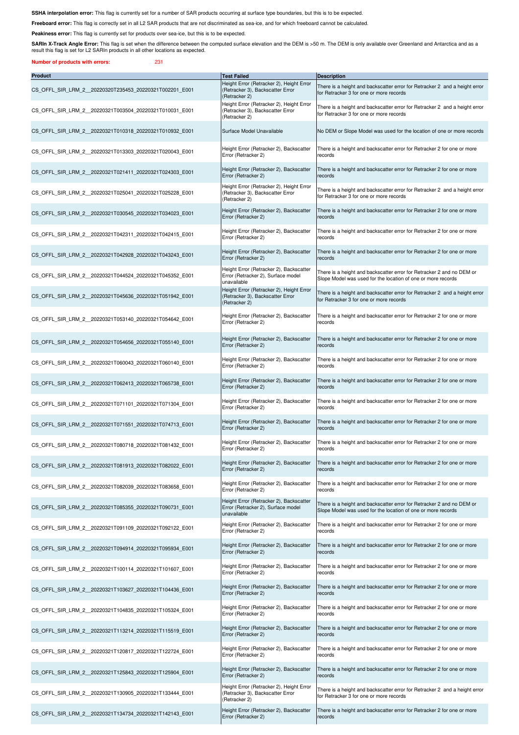SSHA interpolation error: This flag is currently set for a number of SAR products occurring at surface type boundaries, but this is to be expected.

**Freeboard error:** This flag is correctly set in all L2 SAR products that are not discriminated as sea-ice, and for which freeboard cannot be calculated.

Peakiness error: This flag is currently set for products over sea-ice, but this is to be expected.

SARIn X-Track Angle Error: This flag is set when the difference between the computed surface elevation and the DEM is >50 m. The DEM is only available over Greenland and Antarctica and as a result this flag is set for L2 SARIn products in all other locations as expected.

**Number of products with errors:** 231

| <b>Product</b>                                         | <b>Test Failed</b>                                                                            | <b>Description</b>                                                                                                                    |
|--------------------------------------------------------|-----------------------------------------------------------------------------------------------|---------------------------------------------------------------------------------------------------------------------------------------|
| CS OFFL SIR LRM 2 20220320T235453 20220321T002201 E001 | Height Error (Retracker 2), Height Error<br>(Retracker 3), Backscatter Error<br>(Retracker 2) | There is a height and backscatter error for Retracker 2 and a height error<br>for Retracker 3 for one or more records                 |
| CS OFFL SIR LRM 2 20220321T003504 20220321T010031 E001 | Height Error (Retracker 2), Height Error<br>(Retracker 3), Backscatter Error<br>(Retracker 2) | There is a height and backscatter error for Retracker 2 and a height error<br>for Retracker 3 for one or more records                 |
| CS OFFL SIR LRM 2 20220321T010318 20220321T010932 E001 | Surface Model Unavailable                                                                     | No DEM or Slope Model was used for the location of one or more records                                                                |
| CS OFFL SIR LRM 2 20220321T013303 20220321T020043 E001 | Height Error (Retracker 2), Backscatter<br>Error (Retracker 2)                                | There is a height and backscatter error for Retracker 2 for one or more<br>records                                                    |
| CS_OFFL_SIR_LRM_2_20220321T021411_20220321T024303_E001 | Height Error (Retracker 2), Backscatter<br>Error (Retracker 2)                                | There is a height and backscatter error for Retracker 2 for one or more<br>records                                                    |
| CS OFFL SIR LRM 2 20220321T025041 20220321T025228 E001 | Height Error (Retracker 2), Height Error<br>(Retracker 3), Backscatter Error<br>(Retracker 2) | There is a height and backscatter error for Retracker 2 and a height error<br>for Retracker 3 for one or more records                 |
| CS OFFL SIR LRM 2 20220321T030545 20220321T034023 E001 | Height Error (Retracker 2), Backscatter<br>Error (Retracker 2)                                | There is a height and backscatter error for Retracker 2 for one or more<br>records                                                    |
| CS OFFL SIR LRM 2 20220321T042311 20220321T042415 E001 | Height Error (Retracker 2), Backscatter<br>Error (Retracker 2)                                | There is a height and backscatter error for Retracker 2 for one or more<br>records                                                    |
| CS OFFL SIR LRM 2 20220321T042928 20220321T043243 E001 | Height Error (Retracker 2), Backscatter<br>Error (Retracker 2)                                | There is a height and backscatter error for Retracker 2 for one or more<br>records                                                    |
| CS OFFL SIR LRM 2 20220321T044524 20220321T045352 E001 | Height Error (Retracker 2), Backscatter<br>Error (Retracker 2), Surface model<br>unavailable  | There is a height and backscatter error for Retracker 2 and no DEM or<br>Slope Model was used for the location of one or more records |
| CS OFFL SIR LRM 2 20220321T045636 20220321T051942 E001 | Height Error (Retracker 2), Height Error<br>(Retracker 3), Backscatter Error<br>(Retracker 2) | There is a height and backscatter error for Retracker 2 and a height error<br>for Retracker 3 for one or more records                 |
| CS OFFL SIR LRM 2 20220321T053140 20220321T054642 E001 | Height Error (Retracker 2), Backscatter<br>Error (Retracker 2)                                | There is a height and backscatter error for Retracker 2 for one or more<br>records                                                    |
| CS OFFL SIR LRM 2 20220321T054656 20220321T055140 E001 | Height Error (Retracker 2), Backscatter<br>Error (Retracker 2)                                | There is a height and backscatter error for Retracker 2 for one or more<br>records                                                    |
| CS OFFL SIR LRM 2 20220321T060043 20220321T060140 E001 | Height Error (Retracker 2), Backscatter<br>Error (Retracker 2)                                | There is a height and backscatter error for Retracker 2 for one or more<br>records                                                    |
| CS OFFL SIR LRM 2 20220321T062413 20220321T065738 E001 | Height Error (Retracker 2), Backscatter<br>Error (Retracker 2)                                | There is a height and backscatter error for Retracker 2 for one or more<br>records                                                    |
| CS OFFL SIR LRM 2 20220321T071101 20220321T071304 E001 | Height Error (Retracker 2), Backscatter<br>Error (Retracker 2)                                | There is a height and backscatter error for Retracker 2 for one or more<br>records                                                    |
| CS OFFL SIR LRM 2 20220321T071551 20220321T074713 E001 | Height Error (Retracker 2), Backscatter<br>Error (Retracker 2)                                | There is a height and backscatter error for Retracker 2 for one or more<br>records                                                    |
| CS OFFL SIR LRM 2 20220321T080718 20220321T081432 E001 | Height Error (Retracker 2), Backscatter<br>Error (Retracker 2)                                | There is a height and backscatter error for Retracker 2 for one or more<br>records                                                    |
| CS_OFFL_SIR_LRM_2_20220321T081913_20220321T082022_E001 | Height Error (Retracker 2), Backscatter<br>Error (Retracker 2)                                | There is a height and backscatter error for Retracker 2 for one or more<br>records                                                    |
| CS OFFL SIR LRM 2 20220321T082039 20220321T083658 E001 | Height Error (Retracker 2), Backscatter<br>Error (Retracker 2)                                | There is a height and backscatter error for Retracker 2 for one or more<br>records                                                    |
| CS OFFL SIR LRM 2 20220321T085355 20220321T090731 E001 | Height Error (Retracker 2), Backscatter<br>Error (Retracker 2), Surface model<br>unavailable  | There is a height and backscatter error for Retracker 2 and no DEM or<br>Slope Model was used for the location of one or more records |
| CS OFFL SIR LRM 2 20220321T091109 20220321T092122 E001 | Height Error (Retracker 2), Backscatter<br>Error (Retracker 2)                                | There is a height and backscatter error for Retracker 2 for one or more<br>records                                                    |
| CS OFFL SIR LRM 2 20220321T094914 20220321T095934 E001 | Height Error (Retracker 2), Backscatter<br>Error (Retracker 2)                                | There is a height and backscatter error for Retracker 2 for one or more<br>records                                                    |
| CS OFFL SIR LRM 2 20220321T100114 20220321T101607 E001 | Height Error (Retracker 2), Backscatter<br>Error (Retracker 2)                                | There is a height and backscatter error for Retracker 2 for one or more<br>records                                                    |
| CS OFFL SIR LRM 2 20220321T103627 20220321T104436 E001 | Height Error (Retracker 2), Backscatter<br>Error (Retracker 2)                                | There is a height and backscatter error for Retracker 2 for one or more<br>records                                                    |
| CS OFFL SIR LRM 2 20220321T104835 20220321T105324 E001 | Height Error (Retracker 2), Backscatter<br>Error (Retracker 2)                                | There is a height and backscatter error for Retracker 2 for one or more<br>records                                                    |
| CS OFFL SIR LRM 2 20220321T113214 20220321T115519 E001 | Height Error (Retracker 2), Backscatter<br>Error (Retracker 2)                                | There is a height and backscatter error for Retracker 2 for one or more<br>records                                                    |
| CS OFFL SIR LRM 2 20220321T120817 20220321T122724 E001 | Height Error (Retracker 2), Backscatter<br>Error (Retracker 2)                                | There is a height and backscatter error for Retracker 2 for one or more<br>records                                                    |
| CS OFFL SIR LRM 2 20220321T125843 20220321T125904 E001 | Height Error (Retracker 2), Backscatter<br>Error (Retracker 2)                                | There is a height and backscatter error for Retracker 2 for one or more<br>records                                                    |
| CS OFFL SIR LRM 2 20220321T130905 20220321T133444 E001 | Height Error (Retracker 2), Height Error<br>(Retracker 3), Backscatter Error<br>(Retracker 2) | There is a height and backscatter error for Retracker 2 and a height error<br>for Retracker 3 for one or more records                 |
| CS OFFL SIR LRM 2 20220321T134734 20220321T142143 E001 | Height Error (Retracker 2), Backscatter<br>Error (Retracker 2)                                | There is a height and backscatter error for Retracker 2 for one or more<br>records                                                    |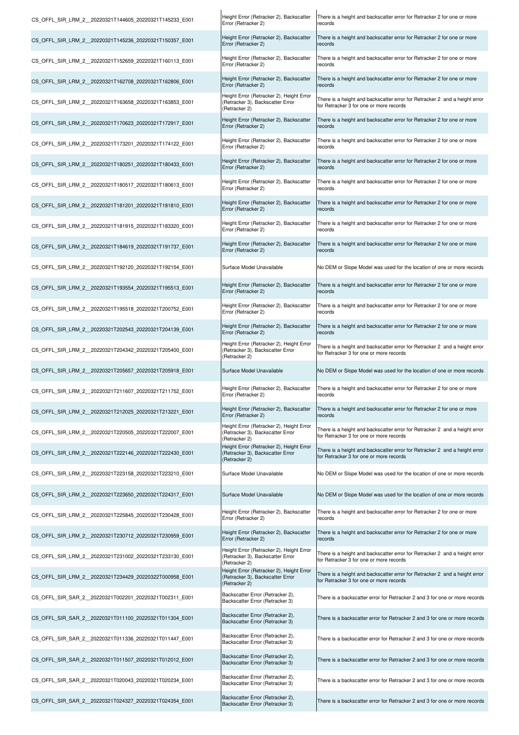| CS_OFFL_SIR_LRM_2__20220321T144605_20220321T145233_E001 | Height Error (Retracker 2), Backscatter<br>Error (Retracker 2)                                | There is a height and backscatter error for Retracker 2 for one or more<br>records                                    |
|---------------------------------------------------------|-----------------------------------------------------------------------------------------------|-----------------------------------------------------------------------------------------------------------------------|
| CS OFFL SIR LRM 2 20220321T145236 20220321T150357 E001  | Height Error (Retracker 2), Backscatter<br>Error (Retracker 2)                                | There is a height and backscatter error for Retracker 2 for one or more<br>records                                    |
| CS OFFL SIR LRM 2 20220321T152659 20220321T160113 E001  | Height Error (Retracker 2), Backscatter<br>Error (Retracker 2)                                | There is a height and backscatter error for Retracker 2 for one or more<br>records                                    |
| CS OFFL SIR LRM 2 20220321T162708 20220321T162806 E001  | Height Error (Retracker 2), Backscatter<br>Error (Retracker 2)                                | There is a height and backscatter error for Retracker 2 for one or more<br>records                                    |
| CS OFFL SIR LRM 2 20220321T163658 20220321T163853 E001  | Height Error (Retracker 2), Height Error<br>(Retracker 3), Backscatter Error<br>(Retracker 2) | There is a height and backscatter error for Retracker 2 and a height error<br>for Retracker 3 for one or more records |
| CS OFFL SIR LRM 2 20220321T170623 20220321T172917 E001  | Height Error (Retracker 2), Backscatter<br>Error (Retracker 2)                                | There is a height and backscatter error for Retracker 2 for one or more<br>records                                    |
| CS OFFL SIR LRM 2 20220321T173201 20220321T174122 E001  | Height Error (Retracker 2), Backscatter<br>Error (Retracker 2)                                | There is a height and backscatter error for Retracker 2 for one or more<br>records                                    |
| CS OFFL SIR LRM 2 20220321T180251 20220321T180433 E001  | Height Error (Retracker 2), Backscatter<br>Error (Retracker 2)                                | There is a height and backscatter error for Retracker 2 for one or more<br>records                                    |
| CS OFFL SIR LRM 2 20220321T180517 20220321T180613 E001  | Height Error (Retracker 2), Backscatter<br>Error (Retracker 2)                                | There is a height and backscatter error for Retracker 2 for one or more<br>records                                    |
| CS OFFL SIR LRM 2 20220321T181201 20220321T181810 E001  | Height Error (Retracker 2), Backscatter<br>Error (Retracker 2)                                | There is a height and backscatter error for Retracker 2 for one or more<br>records                                    |
| CS OFFL SIR LRM 2 20220321T181915 20220321T183320 E001  | Height Error (Retracker 2), Backscatter<br>Error (Retracker 2)                                | There is a height and backscatter error for Retracker 2 for one or more<br>records                                    |
| CS OFFL SIR LRM 2 20220321T184619 20220321T191737 E001  | Height Error (Retracker 2), Backscatter<br>Error (Retracker 2)                                | There is a height and backscatter error for Retracker 2 for one or more<br>records                                    |
| CS OFFL SIR LRM 2 20220321T192120 20220321T192154 E001  | Surface Model Unavailable                                                                     | No DEM or Slope Model was used for the location of one or more records                                                |
| CS OFFL SIR LRM 2 20220321T193554 20220321T195513 E001  | Height Error (Retracker 2), Backscatter<br>Error (Retracker 2)                                | There is a height and backscatter error for Retracker 2 for one or more<br>records                                    |
| CS OFFL SIR LRM 2 20220321T195518 20220321T200752 E001  | Height Error (Retracker 2), Backscatter<br>Error (Retracker 2)                                | There is a height and backscatter error for Retracker 2 for one or more<br>records                                    |
| CS OFFL SIR LRM 2 20220321T202543 20220321T204139 E001  | Height Error (Retracker 2), Backscatter<br>Error (Retracker 2)                                | There is a height and backscatter error for Retracker 2 for one or more<br>records                                    |
| CS OFFL SIR LRM 2 20220321T204342 20220321T205400 E001  | Height Error (Retracker 2), Height Error<br>(Retracker 3), Backscatter Error<br>(Retracker 2) | There is a height and backscatter error for Retracker 2 and a height error<br>for Retracker 3 for one or more records |
| CS OFFL SIR LRM 2 20220321T205657 20220321T205918 E001  | Surface Model Unavailable                                                                     | No DEM or Slope Model was used for the location of one or more records                                                |
| CS OFFL SIR LRM 2 20220321T211607 20220321T211752 E001  | Height Error (Retracker 2), Backscatter<br>Error (Retracker 2)                                | There is a height and backscatter error for Retracker 2 for one or more<br>records                                    |
| CS OFFL SIR LRM 2 20220321T212025 20220321T213221 E001  | Height Error (Retracker 2), Backscatter<br>Error (Retracker 2)                                | There is a height and backscatter error for Retracker 2 for one or more<br>records                                    |
| CS OFFL SIR LRM 2 20220321T220505 20220321T222007 E001  | Height Error (Retracker 2), Height Error<br>(Retracker 3), Backscatter Error<br>(Retracker 2) | There is a height and backscatter error for Retracker 2 and a height error<br>for Retracker 3 for one or more records |
| CS OFFL SIR LRM 2 20220321T222146 20220321T222430 E001  | Height Error (Retracker 2), Height Error<br>(Retracker 3), Backscatter Error<br>(Retracker 2) | There is a height and backscatter error for Retracker 2 and a height error<br>for Retracker 3 for one or more records |
| CS OFFL SIR LRM 2 20220321T223158 20220321T223210 E001  | Surface Model Unavailable                                                                     | No DEM or Slope Model was used for the location of one or more records                                                |
| CS OFFL SIR LRM 2 20220321T223650 20220321T224317 E001  | Surface Model Unavailable                                                                     | No DEM or Slope Model was used for the location of one or more records                                                |
| CS OFFL SIR LRM 2 20220321T225845 20220321T230428 E001  | Height Error (Retracker 2), Backscatter<br>Error (Retracker 2)                                | There is a height and backscatter error for Retracker 2 for one or more<br>records                                    |
| CS OFFL SIR LRM 2 20220321T230712 20220321T230959 E001  | Height Error (Retracker 2), Backscatter<br>Error (Retracker 2)                                | There is a height and backscatter error for Retracker 2 for one or more<br>records                                    |
| CS OFFL SIR LRM 2 20220321T231002 20220321T233130 E001  | Height Error (Retracker 2), Height Error<br>(Retracker 3), Backscatter Error<br>(Retracker 2) | There is a height and backscatter error for Retracker 2 and a height error<br>for Retracker 3 for one or more records |
| CS OFFL SIR LRM 2 20220321T234429 20220322T000958 E001  | Height Error (Retracker 2), Height Error<br>(Retracker 3), Backscatter Error<br>(Retracker 2) | There is a height and backscatter error for Retracker 2 and a height error<br>for Retracker 3 for one or more records |
| CS OFFL SIR SAR 2 20220321T002201 20220321T002311 E001  | Backscatter Error (Retracker 2),<br>Backscatter Error (Retracker 3)                           | There is a backscatter error for Retracker 2 and 3 for one or more records                                            |
| CS OFFL SIR SAR 2 20220321T011100 20220321T011304 E001  | Backscatter Error (Retracker 2),<br>Backscatter Error (Retracker 3)                           | There is a backscatter error for Retracker 2 and 3 for one or more records                                            |
| CS OFFL SIR SAR 2 20220321T011336 20220321T011447 E001  | Backscatter Error (Retracker 2),<br>Backscatter Error (Retracker 3)                           | There is a backscatter error for Retracker 2 and 3 for one or more records                                            |
| CS OFFL SIR SAR 2 20220321T011507 20220321T012012 E001  | Backscatter Error (Retracker 2),<br>Backscatter Error (Retracker 3)                           | There is a backscatter error for Retracker 2 and 3 for one or more records                                            |
| CS OFFL SIR SAR 2 20220321T020043 20220321T020234 E001  | Backscatter Error (Retracker 2),<br>Backscatter Error (Retracker 3)                           | There is a backscatter error for Retracker 2 and 3 for one or more records                                            |
| CS OFFL SIR SAR 2 20220321T024327 20220321T024354 E001  | Backscatter Error (Retracker 2),<br>Backscatter Error (Retracker 3)                           | There is a backscatter error for Retracker 2 and 3 for one or more records                                            |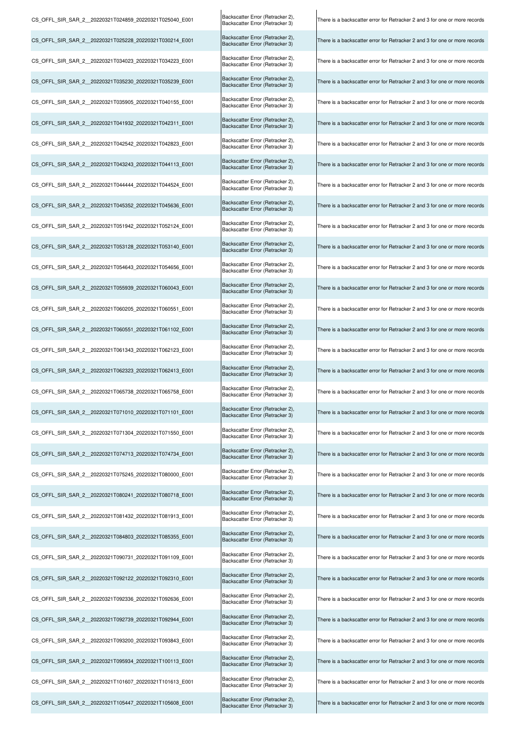| CS OFFL SIR SAR 2 20220321T024859 20220321T025040 E001 | Backscatter Error (Retracker 2),<br>Backscatter Error (Retracker 3) | There is a backscatter error for Retracker 2 and 3 for one or more records |
|--------------------------------------------------------|---------------------------------------------------------------------|----------------------------------------------------------------------------|
| CS OFFL SIR SAR 2 20220321T025228 20220321T030214 E001 | Backscatter Error (Retracker 2),<br>Backscatter Error (Retracker 3) | There is a backscatter error for Retracker 2 and 3 for one or more records |
| CS OFFL SIR SAR 2 20220321T034023 20220321T034223 E001 | Backscatter Error (Retracker 2),<br>Backscatter Error (Retracker 3) | There is a backscatter error for Retracker 2 and 3 for one or more records |
| CS OFFL SIR SAR 2 20220321T035230 20220321T035239 E001 | Backscatter Error (Retracker 2),<br>Backscatter Error (Retracker 3) | There is a backscatter error for Retracker 2 and 3 for one or more records |
| CS OFFL SIR SAR 2 20220321T035905 20220321T040155 E001 | Backscatter Error (Retracker 2),<br>Backscatter Error (Retracker 3) | There is a backscatter error for Retracker 2 and 3 for one or more records |
| CS_OFFL_SIR_SAR_2_20220321T041932_20220321T042311_E001 | Backscatter Error (Retracker 2),<br>Backscatter Error (Retracker 3) | There is a backscatter error for Retracker 2 and 3 for one or more records |
| CS OFFL SIR SAR 2 20220321T042542 20220321T042823 E001 | Backscatter Error (Retracker 2),<br>Backscatter Error (Retracker 3) | There is a backscatter error for Retracker 2 and 3 for one or more records |
| CS_OFFL_SIR_SAR_2_20220321T043243_20220321T044113_E001 | Backscatter Error (Retracker 2),<br>Backscatter Error (Retracker 3) | There is a backscatter error for Retracker 2 and 3 for one or more records |
| CS_OFFL_SIR_SAR_2_20220321T044444_20220321T044524_E001 | Backscatter Error (Retracker 2),<br>Backscatter Error (Retracker 3) | There is a backscatter error for Retracker 2 and 3 for one or more records |
| CS_OFFL_SIR_SAR_2_20220321T045352_20220321T045636_E001 | Backscatter Error (Retracker 2),<br>Backscatter Error (Retracker 3) | There is a backscatter error for Retracker 2 and 3 for one or more records |
| CS OFFL SIR SAR 2 20220321T051942 20220321T052124 E001 | Backscatter Error (Retracker 2),<br>Backscatter Error (Retracker 3) | There is a backscatter error for Retracker 2 and 3 for one or more records |
| CS OFFL SIR SAR 2 20220321T053128 20220321T053140 E001 | Backscatter Error (Retracker 2),<br>Backscatter Error (Retracker 3) | There is a backscatter error for Retracker 2 and 3 for one or more records |
| CS OFFL SIR SAR 2 20220321T054643 20220321T054656 E001 | Backscatter Error (Retracker 2),<br>Backscatter Error (Retracker 3) | There is a backscatter error for Retracker 2 and 3 for one or more records |
| CS_OFFL_SIR_SAR_2_20220321T055939_20220321T060043_E001 | Backscatter Error (Retracker 2),<br>Backscatter Error (Retracker 3) | There is a backscatter error for Retracker 2 and 3 for one or more records |
| CS OFFL SIR SAR 2 20220321T060205 20220321T060551 E001 | Backscatter Error (Retracker 2),<br>Backscatter Error (Retracker 3) | There is a backscatter error for Retracker 2 and 3 for one or more records |
| CS_OFFL_SIR_SAR_2_20220321T060551_20220321T061102_E001 | Backscatter Error (Retracker 2),<br>Backscatter Error (Retracker 3) | There is a backscatter error for Retracker 2 and 3 for one or more records |
| CS_OFFL_SIR_SAR_2_20220321T061343_20220321T062123_E001 | Backscatter Error (Retracker 2),<br>Backscatter Error (Retracker 3) | There is a backscatter error for Retracker 2 and 3 for one or more records |
| CS_OFFL_SIR_SAR_2_20220321T062323_20220321T062413_E001 | Backscatter Error (Retracker 2),<br>Backscatter Error (Retracker 3) | There is a backscatter error for Retracker 2 and 3 for one or more records |
| CS_OFFL_SIR_SAR_2_20220321T065738_20220321T065758_E001 | Backscatter Error (Retracker 2),<br>Backscatter Error (Retracker 3) | There is a backscatter error for Retracker 2 and 3 for one or more records |
| CS OFFL SIR SAR 2 20220321T071010 20220321T071101 E001 | Backscatter Error (Retracker 2),<br>Backscatter Error (Retracker 3) | There is a backscatter error for Retracker 2 and 3 for one or more records |
| CS OFFL SIR SAR 2 20220321T071304 20220321T071550 E001 | Backscatter Error (Retracker 2),<br>Backscatter Error (Retracker 3) | There is a backscatter error for Retracker 2 and 3 for one or more records |
| CS OFFL SIR SAR 2 20220321T074713 20220321T074734 E001 | Backscatter Error (Retracker 2),<br>Backscatter Error (Retracker 3) | There is a backscatter error for Retracker 2 and 3 for one or more records |
| CS OFFL SIR SAR 2 20220321T075245 20220321T080000 E001 | Backscatter Error (Retracker 2),<br>Backscatter Error (Retracker 3) | There is a backscatter error for Retracker 2 and 3 for one or more records |
| CS OFFL SIR SAR 2 20220321T080241 20220321T080718 E001 | Backscatter Error (Retracker 2),<br>Backscatter Error (Retracker 3) | There is a backscatter error for Retracker 2 and 3 for one or more records |
| CS OFFL SIR SAR 2 20220321T081432 20220321T081913 E001 | Backscatter Error (Retracker 2),<br>Backscatter Error (Retracker 3) | There is a backscatter error for Retracker 2 and 3 for one or more records |
| CS OFFL SIR SAR 2 20220321T084803 20220321T085355 E001 | Backscatter Error (Retracker 2),<br>Backscatter Error (Retracker 3) | There is a backscatter error for Retracker 2 and 3 for one or more records |
| CS_OFFL_SIR_SAR_2_20220321T090731_20220321T091109_E001 | Backscatter Error (Retracker 2),<br>Backscatter Error (Retracker 3) | There is a backscatter error for Retracker 2 and 3 for one or more records |
| CS OFFL SIR SAR 2 20220321T092122 20220321T092310 E001 | Backscatter Error (Retracker 2),<br>Backscatter Error (Retracker 3) | There is a backscatter error for Retracker 2 and 3 for one or more records |
| CS OFFL SIR SAR 2 20220321T092336 20220321T092636 E001 | Backscatter Error (Retracker 2),<br>Backscatter Error (Retracker 3) | There is a backscatter error for Retracker 2 and 3 for one or more records |
| CS OFFL SIR SAR 2 20220321T092739 20220321T092944 E001 | Backscatter Error (Retracker 2),<br>Backscatter Error (Retracker 3) | There is a backscatter error for Retracker 2 and 3 for one or more records |
| CS OFFL SIR SAR 2 20220321T093200 20220321T093843 E001 | Backscatter Error (Retracker 2),<br>Backscatter Error (Retracker 3) | There is a backscatter error for Retracker 2 and 3 for one or more records |
| CS_OFFL_SIR_SAR_2_20220321T095934_20220321T100113_E001 | Backscatter Error (Retracker 2),<br>Backscatter Error (Retracker 3) | There is a backscatter error for Retracker 2 and 3 for one or more records |
| CS_OFFL_SIR_SAR_2_20220321T101607_20220321T101613_E001 | Backscatter Error (Retracker 2),<br>Backscatter Error (Retracker 3) | There is a backscatter error for Retracker 2 and 3 for one or more records |
| CS_OFFL_SIR_SAR_2_20220321T105447_20220321T105608_E001 | Backscatter Error (Retracker 2),<br>Backscatter Error (Retracker 3) | There is a backscatter error for Retracker 2 and 3 for one or more records |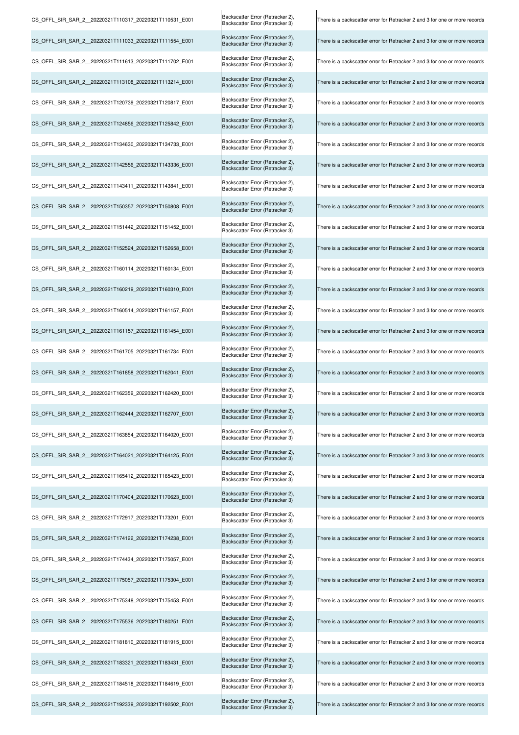| CS_OFFL_SIR_SAR_2_20220321T110317_20220321T110531_E001  | Backscatter Error (Retracker 2),<br>Backscatter Error (Retracker 3) | There is a backscatter error for Retracker 2 and 3 for one or more records |
|---------------------------------------------------------|---------------------------------------------------------------------|----------------------------------------------------------------------------|
| CS OFFL SIR SAR 2 20220321T111033 20220321T111554 E001  | Backscatter Error (Retracker 2),<br>Backscatter Error (Retracker 3) | There is a backscatter error for Retracker 2 and 3 for one or more records |
| CS OFFL SIR SAR 2 20220321T111613 20220321T111702 E001  | Backscatter Error (Retracker 2),<br>Backscatter Error (Retracker 3) | There is a backscatter error for Retracker 2 and 3 for one or more records |
| CS_OFFL_SIR_SAR_2_20220321T113108_20220321T113214_E001  | Backscatter Error (Retracker 2),<br>Backscatter Error (Retracker 3) | There is a backscatter error for Retracker 2 and 3 for one or more records |
| CS_OFFL_SIR_SAR_2__20220321T120739_20220321T120817_E001 | Backscatter Error (Retracker 2),<br>Backscatter Error (Retracker 3) | There is a backscatter error for Retracker 2 and 3 for one or more records |
| CS_OFFL_SIR_SAR_2_20220321T124856_20220321T125842_E001  | Backscatter Error (Retracker 2),<br>Backscatter Error (Retracker 3) | There is a backscatter error for Retracker 2 and 3 for one or more records |
| CS OFFL SIR SAR 2 20220321T134630 20220321T134733 E001  | Backscatter Error (Retracker 2),<br>Backscatter Error (Retracker 3) | There is a backscatter error for Retracker 2 and 3 for one or more records |
| CS_OFFL_SIR_SAR_2_20220321T142556_20220321T143336_E001  | Backscatter Error (Retracker 2),<br>Backscatter Error (Retracker 3) | There is a backscatter error for Retracker 2 and 3 for one or more records |
| CS OFFL SIR SAR 2 20220321T143411 20220321T143841 E001  | Backscatter Error (Retracker 2),<br>Backscatter Error (Retracker 3) | There is a backscatter error for Retracker 2 and 3 for one or more records |
| CS OFFL SIR SAR 2 20220321T150357 20220321T150808 E001  | Backscatter Error (Retracker 2),<br>Backscatter Error (Retracker 3) | There is a backscatter error for Retracker 2 and 3 for one or more records |
| CS_OFFL_SIR_SAR_2_20220321T151442_20220321T151452_E001  | Backscatter Error (Retracker 2),<br>Backscatter Error (Retracker 3) | There is a backscatter error for Retracker 2 and 3 for one or more records |
| CS_OFFL_SIR_SAR_2_20220321T152524_20220321T152658_E001  | Backscatter Error (Retracker 2),<br>Backscatter Error (Retracker 3) | There is a backscatter error for Retracker 2 and 3 for one or more records |
| CS_OFFL_SIR_SAR_2_20220321T160114_20220321T160134_E001  | Backscatter Error (Retracker 2),<br>Backscatter Error (Retracker 3) | There is a backscatter error for Retracker 2 and 3 for one or more records |
| CS_OFFL_SIR_SAR_2_20220321T160219_20220321T160310_E001  | Backscatter Error (Retracker 2),<br>Backscatter Error (Retracker 3) | There is a backscatter error for Retracker 2 and 3 for one or more records |
| CS_OFFL_SIR_SAR_2_20220321T160514_20220321T161157_E001  | Backscatter Error (Retracker 2),<br>Backscatter Error (Retracker 3) | There is a backscatter error for Retracker 2 and 3 for one or more records |
| CS OFFL SIR SAR 2 20220321T161157 20220321T161454 E001  | Backscatter Error (Retracker 2),<br>Backscatter Error (Retracker 3) | There is a backscatter error for Retracker 2 and 3 for one or more records |
| CS_OFFL_SIR_SAR_2_20220321T161705_20220321T161734_E001  | Backscatter Error (Retracker 2),<br>Backscatter Error (Retracker 3) | There is a backscatter error for Retracker 2 and 3 for one or more records |
| CS_OFFL_SIR_SAR_2_20220321T161858_20220321T162041_E001  | Backscatter Error (Retracker 2),<br>Backscatter Error (Retracker 3) | There is a backscatter error for Retracker 2 and 3 for one or more records |
| CS_OFFL_SIR_SAR_2_20220321T162359_20220321T162420_E001  | Backscatter Error (Retracker 2),<br>Backscatter Error (Retracker 3) | There is a backscatter error for Retracker 2 and 3 for one or more records |
| CS OFFL SIR SAR 2 20220321T162444 20220321T162707 E001  | Backscatter Error (Retracker 2),<br>Backscatter Error (Retracker 3) | There is a backscatter error for Retracker 2 and 3 for one or more records |
| CS OFFL SIR SAR 2 20220321T163854 20220321T164020 E001  | Backscatter Error (Retracker 2),<br>Backscatter Error (Retracker 3) | There is a backscatter error for Retracker 2 and 3 for one or more records |
| CS OFFL SIR SAR 2 20220321T164021 20220321T164125 E001  | Backscatter Error (Retracker 2),<br>Backscatter Error (Retracker 3) | There is a backscatter error for Retracker 2 and 3 for one or more records |
| CS OFFL SIR SAR 2 20220321T165412 20220321T165423 E001  | Backscatter Error (Retracker 2),<br>Backscatter Error (Retracker 3) | There is a backscatter error for Retracker 2 and 3 for one or more records |
| CS_OFFL_SIR_SAR_2_20220321T170404_20220321T170623_E001  | Backscatter Error (Retracker 2),<br>Backscatter Error (Retracker 3) | There is a backscatter error for Retracker 2 and 3 for one or more records |
| CS_OFFL_SIR_SAR_2_20220321T172917_20220321T173201_E001  | Backscatter Error (Retracker 2),<br>Backscatter Error (Retracker 3) | There is a backscatter error for Retracker 2 and 3 for one or more records |
| CS OFFL SIR SAR 2 20220321T174122 20220321T174238 E001  | Backscatter Error (Retracker 2),<br>Backscatter Error (Retracker 3) | There is a backscatter error for Retracker 2 and 3 for one or more records |
| CS OFFL SIR SAR 2 20220321T174434 20220321T175057 E001  | Backscatter Error (Retracker 2),<br>Backscatter Error (Retracker 3) | There is a backscatter error for Retracker 2 and 3 for one or more records |
| CS OFFL SIR SAR 2 20220321T175057 20220321T175304 E001  | Backscatter Error (Retracker 2),<br>Backscatter Error (Retracker 3) | There is a backscatter error for Retracker 2 and 3 for one or more records |
| CS OFFL SIR SAR 2 20220321T175348 20220321T175453 E001  | Backscatter Error (Retracker 2),<br>Backscatter Error (Retracker 3) | There is a backscatter error for Retracker 2 and 3 for one or more records |
| CS_OFFL_SIR_SAR_2_20220321T175536_20220321T180251_E001  | Backscatter Error (Retracker 2),<br>Backscatter Error (Retracker 3) | There is a backscatter error for Retracker 2 and 3 for one or more records |
| CS_OFFL_SIR_SAR_2__20220321T181810_20220321T181915_E001 | Backscatter Error (Retracker 2),<br>Backscatter Error (Retracker 3) | There is a backscatter error for Retracker 2 and 3 for one or more records |
| CS_OFFL_SIR_SAR_2_20220321T183321_20220321T183431_E001  | Backscatter Error (Retracker 2),<br>Backscatter Error (Retracker 3) | There is a backscatter error for Retracker 2 and 3 for one or more records |
| CS OFFL SIR SAR 2 20220321T184518 20220321T184619 E001  | Backscatter Error (Retracker 2),<br>Backscatter Error (Retracker 3) | There is a backscatter error for Retracker 2 and 3 for one or more records |
| CS OFFL SIR SAR 2 20220321T192339 20220321T192502 E001  | Backscatter Error (Retracker 2),<br>Backscatter Error (Retracker 3) | There is a backscatter error for Retracker 2 and 3 for one or more records |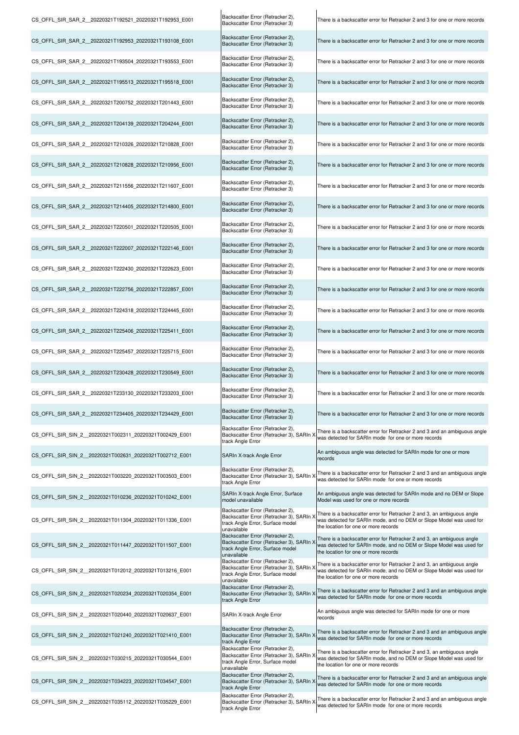| CS_OFFL_SIR_SAR_2_20220321T192521_20220321T192953_E001 | Backscatter Error (Retracker 2),<br>Backscatter Error (Retracker 3)                                                             | There is a backscatter error for Retracker 2 and 3 for one or more records                                                                                                            |
|--------------------------------------------------------|---------------------------------------------------------------------------------------------------------------------------------|---------------------------------------------------------------------------------------------------------------------------------------------------------------------------------------|
| CS_OFFL_SIR_SAR_2_20220321T192953_20220321T193108_E001 | Backscatter Error (Retracker 2),<br>Backscatter Error (Retracker 3)                                                             | There is a backscatter error for Retracker 2 and 3 for one or more records                                                                                                            |
| CS OFFL SIR SAR 2 20220321T193504 20220321T193553 E001 | Backscatter Error (Retracker 2),<br>Backscatter Error (Retracker 3)                                                             | There is a backscatter error for Retracker 2 and 3 for one or more records                                                                                                            |
| CS OFFL SIR SAR 2 20220321T195513 20220321T195518 E001 | Backscatter Error (Retracker 2),<br>Backscatter Error (Retracker 3)                                                             | There is a backscatter error for Retracker 2 and 3 for one or more records                                                                                                            |
| CS OFFL SIR SAR 2 20220321T200752 20220321T201443 E001 | Backscatter Error (Retracker 2),<br>Backscatter Error (Retracker 3)                                                             | There is a backscatter error for Retracker 2 and 3 for one or more records                                                                                                            |
| CS OFFL SIR SAR 2 20220321T204139 20220321T204244 E001 | Backscatter Error (Retracker 2),<br>Backscatter Error (Retracker 3)                                                             | There is a backscatter error for Retracker 2 and 3 for one or more records                                                                                                            |
| CS_OFFL_SIR_SAR_2_20220321T210326_20220321T210828_E001 | Backscatter Error (Retracker 2),<br>Backscatter Error (Retracker 3)                                                             | There is a backscatter error for Retracker 2 and 3 for one or more records                                                                                                            |
| CS_OFFL_SIR_SAR_2_20220321T210828_20220321T210956_E001 | Backscatter Error (Retracker 2),<br>Backscatter Error (Retracker 3)                                                             | There is a backscatter error for Retracker 2 and 3 for one or more records                                                                                                            |
| CS OFFL SIR SAR 2 20220321T211556 20220321T211607 E001 | Backscatter Error (Retracker 2),<br>Backscatter Error (Retracker 3)                                                             | There is a backscatter error for Retracker 2 and 3 for one or more records                                                                                                            |
| CS OFFL SIR SAR 2 20220321T214405 20220321T214800 E001 | Backscatter Error (Retracker 2),<br>Backscatter Error (Retracker 3)                                                             | There is a backscatter error for Retracker 2 and 3 for one or more records                                                                                                            |
| CS OFFL SIR SAR 2 20220321T220501 20220321T220505 E001 | Backscatter Error (Retracker 2),<br>Backscatter Error (Retracker 3)                                                             | There is a backscatter error for Retracker 2 and 3 for one or more records                                                                                                            |
| CS_OFFL_SIR_SAR_2_20220321T222007_20220321T222146_E001 | Backscatter Error (Retracker 2),<br>Backscatter Error (Retracker 3)                                                             | There is a backscatter error for Retracker 2 and 3 for one or more records                                                                                                            |
| CS_OFFL_SIR_SAR_2_20220321T222430_20220321T222623_E001 | Backscatter Error (Retracker 2),<br>Backscatter Error (Retracker 3)                                                             | There is a backscatter error for Retracker 2 and 3 for one or more records                                                                                                            |
| CS_OFFL_SIR_SAR_2_20220321T222756_20220321T222857_E001 | Backscatter Error (Retracker 2),<br>Backscatter Error (Retracker 3)                                                             | There is a backscatter error for Retracker 2 and 3 for one or more records                                                                                                            |
| CS_OFFL_SIR_SAR_2_20220321T224318_20220321T224445_E001 | Backscatter Error (Retracker 2),<br>Backscatter Error (Retracker 3)                                                             | There is a backscatter error for Retracker 2 and 3 for one or more records                                                                                                            |
| CS_OFFL_SIR_SAR_2_20220321T225406_20220321T225411_E001 | Backscatter Error (Retracker 2),<br>Backscatter Error (Retracker 3)                                                             | There is a backscatter error for Retracker 2 and 3 for one or more records                                                                                                            |
| CS_OFFL_SIR_SAR_2_20220321T225457_20220321T225715_E001 | Backscatter Error (Retracker 2),<br>Backscatter Error (Retracker 3)                                                             | There is a backscatter error for Retracker 2 and 3 for one or more records                                                                                                            |
| CS_OFFL_SIR_SAR_2_20220321T230428_20220321T230549_E001 | Backscatter Error (Retracker 2),<br>Backscatter Error (Retracker 3)                                                             | There is a backscatter error for Retracker 2 and 3 for one or more records                                                                                                            |
| CS_OFFL_SIR_SAR_2_20220321T233130_20220321T233203_E001 | Backscatter Error (Retracker 2),<br>Backscatter Error (Retracker 3)                                                             | There is a backscatter error for Retracker 2 and 3 for one or more records                                                                                                            |
| CS_OFFL_SIR_SAR_2_20220321T234405_20220321T234429_E001 | Backscatter Error (Retracker 2),<br>Backscatter Error (Retracker 3)                                                             | There is a backscatter error for Retracker 2 and 3 for one or more records                                                                                                            |
| CS OFFL SIR SIN 2 20220321T002311 20220321T002429 E001 | Backscatter Error (Retracker 2),<br>Backscatter Error (Retracker 3), SARIn X<br>track Angle Error                               | There is a backscatter error for Retracker 2 and 3 and an ambiguous angle<br>was detected for SARIn mode for one or more records                                                      |
| CS OFFL SIR SIN 2 20220321T002631 20220321T002712 E001 | SARIn X-track Angle Error                                                                                                       | An ambiguous angle was detected for SARIn mode for one or more<br>records                                                                                                             |
| CS OFFL SIR SIN 2 20220321T003220 20220321T003503 E001 | Backscatter Error (Retracker 2),<br>Backscatter Error (Retracker 3), SARIn X<br>track Angle Error                               | There is a backscatter error for Retracker 2 and 3 and an ambiguous angle<br>was detected for SARIn mode for one or more records                                                      |
| CS OFFL SIR SIN 2 20220321T010236 20220321T010242 E001 | SARIn X-track Angle Error, Surface<br>model unavailable                                                                         | An ambiguous angle was detected for SARIn mode and no DEM or Slope<br>Model was used for one or more records                                                                          |
| CS_OFFL_SIR_SIN_2_20220321T011304_20220321T011336_E001 | Backscatter Error (Retracker 2),<br>Backscatter Error (Retracker 3), SARIn )<br>track Angle Error, Surface model<br>unavailable | There is a backscatter error for Retracker 2 and 3, an ambiguous angle<br>was detected for SARIn mode, and no DEM or Slope Model was used for<br>the location for one or more records |
| CS_OFFL_SIR_SIN_2_20220321T011447_20220321T011507_E001 | Backscatter Error (Retracker 2),<br>Backscatter Error (Retracker 3), SARIn X<br>track Angle Error, Surface model<br>unavailable | There is a backscatter error for Retracker 2 and 3, an ambiguous angle<br>was detected for SARIn mode, and no DEM or Slope Model was used for<br>the location for one or more records |
| CS OFFL SIR SIN 2 20220321T012012 20220321T013216 E001 | Backscatter Error (Retracker 2),<br>Backscatter Error (Retracker 3), SARIn ><br>track Angle Error, Surface model<br>unavailable | There is a backscatter error for Retracker 2 and 3, an ambiguous angle<br>was detected for SARIn mode, and no DEM or Slope Model was used for<br>the location for one or more records |
| CS_OFFL_SIR_SIN_2_20220321T020234_20220321T020354_E001 | Backscatter Error (Retracker 2),<br>Backscatter Error (Retracker 3), SARIn )<br>track Angle Error                               | There is a backscatter error for Retracker 2 and 3 and an ambiguous angle<br>was detected for SARIn mode for one or more records                                                      |
| CS OFFL SIR SIN 2 20220321T020440 20220321T020637 E001 | SARIn X-track Angle Error                                                                                                       | An ambiguous angle was detected for SARIn mode for one or more<br>records                                                                                                             |
| CS_OFFL_SIR_SIN_2_20220321T021240_20220321T021410_E001 | Backscatter Error (Retracker 2),<br>Backscatter Error (Retracker 3), SARIn ><br>track Angle Error                               | There is a backscatter error for Retracker 2 and 3 and an ambiguous angle<br>was detected for SARIn mode for one or more records                                                      |
| CS_OFFL_SIR_SIN_2_20220321T030215_20220321T030544_E001 | Backscatter Error (Retracker 2),<br>Backscatter Error (Retracker 3), SARIn X<br>track Angle Error, Surface model<br>unavailable | There is a backscatter error for Retracker 2 and 3, an ambiguous angle<br>was detected for SARIn mode, and no DEM or Slope Model was used for<br>the location for one or more records |
| CS OFFL SIR SIN 2 20220321T034223 20220321T034547 E001 | Backscatter Error (Retracker 2),<br>Backscatter Error (Retracker 3), SARIn X<br>track Angle Error                               | There is a backscatter error for Retracker 2 and 3 and an ambiguous angle<br>was detected for SARIn mode for one or more records                                                      |
| CS_OFFL_SIR_SIN_2_20220321T035112_20220321T035229_E001 | Backscatter Error (Retracker 2),<br>Backscatter Error (Retracker 3), SARIn X<br>track Angle Error                               | There is a backscatter error for Retracker 2 and 3 and an ambiguous angle<br>was detected for SARIn mode for one or more records                                                      |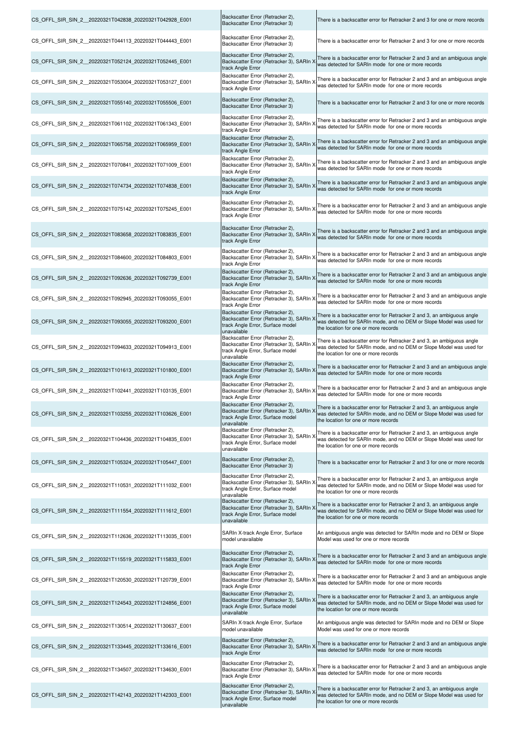| CS_OFFL_SIR_SIN_2_20220321T042838_20220321T042928_E001  | Backscatter Error (Retracker 2),<br>Backscatter Error (Retracker 3)                                                             | There is a backscatter error for Retracker 2 and 3 for one or more records                                                                                                                                                     |
|---------------------------------------------------------|---------------------------------------------------------------------------------------------------------------------------------|--------------------------------------------------------------------------------------------------------------------------------------------------------------------------------------------------------------------------------|
| CS_OFFL_SIR_SIN_2_20220321T044113_20220321T044443_E001  | Backscatter Error (Retracker 2),<br>Backscatter Error (Retracker 3)                                                             | There is a backscatter error for Retracker 2 and 3 for one or more records                                                                                                                                                     |
| CS_OFFL_SIR_SIN_2_20220321T052124_20220321T052445_E001  | Backscatter Error (Retracker 2),<br>Backscatter Error (Retracker 3), SARIn ><br>track Angle Error                               | There is a backscatter error for Retracker 2 and 3 and an ambiguous angle<br>was detected for SARIn mode for one or more records                                                                                               |
| CS_OFFL_SIR_SIN_2_20220321T053004_20220321T053127_E001  | Backscatter Error (Retracker 2),<br>Backscatter Error (Retracker 3), SARIn X<br>track Angle Error                               | There is a backscatter error for Retracker 2 and 3 and an ambiguous angle<br>was detected for SARIn mode for one or more records                                                                                               |
| CS_OFFL_SIR_SIN_2_20220321T055140_20220321T055506_E001  | Backscatter Error (Retracker 2),<br>Backscatter Error (Retracker 3)                                                             | There is a backscatter error for Retracker 2 and 3 for one or more records                                                                                                                                                     |
| CS_OFFL_SIR_SIN_2_20220321T061102_20220321T061343_E001  | Backscatter Error (Retracker 2),<br>Backscatter Error (Retracker 3), SARIn X<br>track Angle Error                               | There is a backscatter error for Retracker 2 and 3 and an ambiguous angle<br>was detected for SARIn mode for one or more records                                                                                               |
| CS_OFFL_SIR_SIN_2_20220321T065758_20220321T065959_E001  | Backscatter Error (Retracker 2),<br>Backscatter Error (Retracker 3), SARIn X<br>track Angle Error                               | There is a backscatter error for Retracker 2 and 3 and an ambiguous angle<br>was detected for SARIn mode for one or more records                                                                                               |
| CS_OFFL_SIR_SIN_2_20220321T070841_20220321T071009_E001  | Backscatter Error (Retracker 2),<br>Backscatter Error (Retracker 3), SARIn X<br>track Angle Error                               | There is a backscatter error for Retracker 2 and 3 and an ambiguous angle<br>was detected for SARIn mode for one or more records                                                                                               |
| CS_OFFL_SIR_SIN_2_20220321T074734_20220321T074838_E001  | Backscatter Error (Retracker 2),<br>Backscatter Error (Retracker 3), SARIn X<br>track Angle Error                               | There is a backscatter error for Retracker 2 and 3 and an ambiguous angle<br>was detected for SARIn mode for one or more records                                                                                               |
| CS_OFFL_SIR_SIN_2_20220321T075142_20220321T075245_E001  | Backscatter Error (Retracker 2),<br>Backscatter Error (Retracker 3), SARIn ><br>track Angle Error                               | There is a backscatter error for Retracker 2 and 3 and an ambiguous angle<br>was detected for SARIn mode for one or more records                                                                                               |
| CS_OFFL_SIR_SIN_2_20220321T083658_20220321T083835_E001  | Backscatter Error (Retracker 2),<br>Backscatter Error (Retracker 3), SARIn X<br>track Angle Error                               | There is a backscatter error for Retracker 2 and 3 and an ambiguous angle<br>was detected for SARIn mode for one or more records                                                                                               |
| CS_OFFL_SIR_SIN_2_20220321T084600_20220321T084803_E001  | Backscatter Error (Retracker 2),<br>Backscatter Error (Retracker 3), SARIn ><br>track Angle Error                               | There is a backscatter error for Retracker 2 and 3 and an ambiguous angle<br>was detected for SARIn mode for one or more records                                                                                               |
| CS_OFFL_SIR_SIN_2_20220321T092636_20220321T092739_E001  | Backscatter Error (Retracker 2),<br>Backscatter Error (Retracker 3), SARIn )<br>track Angle Error                               | There is a backscatter error for Retracker 2 and 3 and an ambiguous angle<br>was detected for SARIn mode for one or more records                                                                                               |
| CS OFFL SIR SIN 2 20220321T092945 20220321T093055 E001  | Backscatter Error (Retracker 2),<br>Backscatter Error (Retracker 3), SARIn ><br>track Angle Error                               | There is a backscatter error for Retracker 2 and 3 and an ambiguous angle<br>was detected for SARIn mode for one or more records                                                                                               |
| CS_OFFL_SIR_SIN_2_20220321T093055_20220321T093200_E001  | Backscatter Error (Retracker 2),<br>Backscatter Error (Retracker 3), SARIn ><br>track Angle Error, Surface model<br>unavailable | There is a backscatter error for Retracker 2 and 3, an ambiguous angle<br>was detected for SARIn mode, and no DEM or Slope Model was used for<br>the location for one or more records                                          |
| CS OFFL SIR SIN_2 _20220321T094633_20220321T094913_E001 | Backscatter Error (Retracker 2),<br>Backscatter Error (Retracker 3), SARIn ><br>track Angle Error, Surface model<br>unavailable | There is a backscatter error for Retracker 2 and 3, an ambiguous angle<br>was detected for SARIn mode, and no DEM or Slope Model was used for<br>the location for one or more records                                          |
| CS_OFFL_SIR_SIN_2_20220321T101613_20220321T101800_E001  | Backscatter Error (Retracker 2),<br>Backscatter Error (Retracker 3), SARIn X<br>track Angle Error                               | There is a backscatter error for Retracker 2 and 3 and an ambiguous angle<br>was detected for SARIn mode for one or more records                                                                                               |
| CS_OFFL_SIR_SIN_2_20220321T102441_20220321T103135_E001  | Backscatter Error (Retracker 2),<br>Backscatter Error (Retracker 3), SARIn X<br>track Angle Error                               | There is a backscatter error for Retracker 2 and 3 and an ambiguous angle<br>was detected for SARIn mode for one or more records                                                                                               |
| CS OFFL SIR SIN 2 20220321T103255 20220321T103626 E001  | Backscatter Error (Retracker 2),<br>track Angle Error, Surface model<br>unavailable                                             | Backscatter Error (Retracker 3), SARIn X There is a backscatter error for Retracker 2 and 3, an ambiguous angle<br>was detected for SARIn mode, and no DEM or Slope Model was used for<br>the location for one or more records |
| CS_OFFL_SIR_SIN_2__20220321T104436_20220321T104835_E001 | Backscatter Error (Retracker 2),<br>Backscatter Error (Retracker 3), SARIn )<br>track Angle Error, Surface model<br>unavailable | There is a backscatter error for Retracker 2 and 3, an ambiguous angle<br>was detected for SARIn mode, and no DEM or Slope Model was used for<br>the location for one or more records                                          |
| CS OFFL SIR SIN 2 20220321T105324 20220321T105447 E001  | Backscatter Error (Retracker 2),<br>Backscatter Error (Retracker 3)                                                             | There is a backscatter error for Retracker 2 and 3 for one or more records                                                                                                                                                     |
| CS_OFFL_SIR_SIN_2__20220321T110531_20220321T111032_E001 | Backscatter Error (Retracker 2),<br>Backscatter Error (Retracker 3), SARIn ><br>track Angle Error, Surface model<br>unavailable | There is a backscatter error for Retracker 2 and 3, an ambiguous angle<br>was detected for SARIn mode, and no DEM or Slope Model was used for<br>the location for one or more records                                          |
| CS OFFL SIR SIN 2 20220321T111554 20220321T111612 E001  | Backscatter Error (Retracker 2),<br>Backscatter Error (Retracker 3), SARIn ><br>track Angle Error, Surface model<br>unavailable | There is a backscatter error for Retracker 2 and 3, an ambiguous angle<br>was detected for SARIn mode, and no DEM or Slope Model was used for<br>the location for one or more records                                          |
| CS_OFFL_SIR_SIN_2__20220321T112636_20220321T113035_E001 | SARIn X-track Angle Error, Surface<br>model unavailable                                                                         | An ambiguous angle was detected for SARIn mode and no DEM or Slope<br>Model was used for one or more records                                                                                                                   |
| CS_OFFL_SIR_SIN_2__20220321T115519_20220321T115833_E001 | Backscatter Error (Retracker 2),<br>Backscatter Error (Retracker 3), SARIn X<br>track Angle Error                               | There is a backscatter error for Retracker 2 and 3 and an ambiguous angle<br>was detected for SARIn mode for one or more records                                                                                               |
| CS OFFL SIR SIN 2 20220321T120530 20220321T120739 E001  | Backscatter Error (Retracker 2),<br>Backscatter Error (Retracker 3), SARIn X<br>track Angle Error                               | There is a backscatter error for Retracker 2 and 3 and an ambiguous angle<br>was detected for SARIn mode for one or more records                                                                                               |
| CS_OFFL_SIR_SIN_2_20220321T124543_20220321T124856_E001  | Backscatter Error (Retracker 2),<br>Backscatter Error (Retracker 3), SARIn ><br>track Angle Error, Surface model<br>unavailable | There is a backscatter error for Retracker 2 and 3, an ambiguous angle<br>was detected for SARIn mode, and no DEM or Slope Model was used for<br>the location for one or more records                                          |
| CS OFFL SIR SIN 2 20220321T130514 20220321T130637 E001  | SARIn X-track Angle Error, Surface<br>model unavailable                                                                         | An ambiguous angle was detected for SARIn mode and no DEM or Slope<br>Model was used for one or more records                                                                                                                   |
| CS_OFFL_SIR_SIN_2_20220321T133445_20220321T133616_E001  | Backscatter Error (Retracker 2),<br>Backscatter Error (Retracker 3), SARIn ><br>track Angle Error                               | There is a backscatter error for Retracker 2 and 3 and an ambiguous angle<br>was detected for SARIn mode for one or more records                                                                                               |
| CS_OFFL_SIR_SIN_2__20220321T134507_20220321T134630_E001 | Backscatter Error (Retracker 2),<br>Backscatter Error (Retracker 3), SARIn X<br>track Angle Error                               | There is a backscatter error for Retracker 2 and 3 and an ambiguous angle<br>was detected for SARIn mode for one or more records                                                                                               |
| CS_OFFL_SIR_SIN_2_20220321T142143_20220321T142303_E001  | Backscatter Error (Retracker 2),<br>Backscatter Error (Retracker 3), SARIn ><br>track Angle Error, Surface model<br>unavailable | There is a backscatter error for Retracker 2 and 3, an ambiguous angle<br>was detected for SARIn mode, and no DEM or Slope Model was used for<br>the location for one or more records                                          |

 $\mathbf{L}$ 

 $\overline{\phantom{a}}$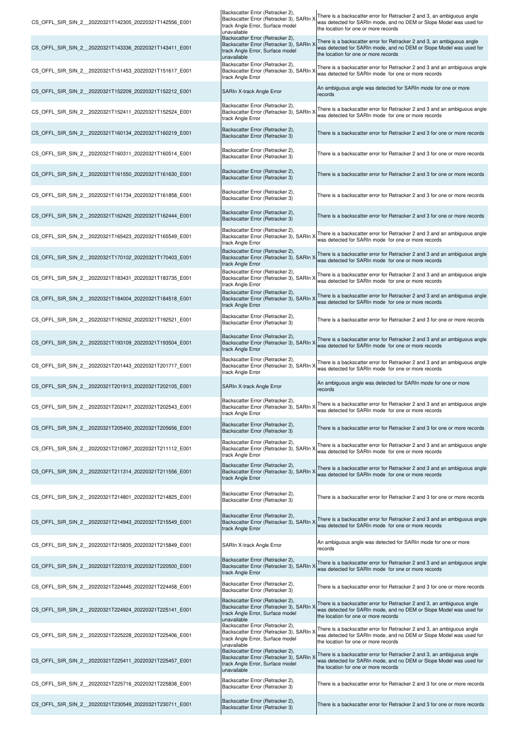| CS OFFL SIR SIN 2 20220321T142305 20220321T142556 E001  | Backscatter Error (Retracker 2),<br>Backscatter Error (Retracker 3), SARIn ><br>track Angle Error, Surface model<br>unavailable | There is a backscatter error for Retracker 2 and 3, an ambiguous angle<br>was detected for SARIn mode, and no DEM or Slope Model was used for<br>the location for one or more records |
|---------------------------------------------------------|---------------------------------------------------------------------------------------------------------------------------------|---------------------------------------------------------------------------------------------------------------------------------------------------------------------------------------|
| CS OFFL SIR SIN 2 20220321T143336 20220321T143411 E001  | Backscatter Error (Retracker 2),<br>Backscatter Error (Retracker 3), SARIn ><br>track Angle Error, Surface model<br>unavailable | There is a backscatter error for Retracker 2 and 3, an ambiguous angle<br>was detected for SARIn mode, and no DEM or Slope Model was used for<br>the location for one or more records |
| CS OFFL SIR SIN 2 20220321T151453 20220321T151617 E001  | Backscatter Error (Retracker 2),<br>Backscatter Error (Retracker 3), SARIn ><br>track Angle Error                               | There is a backscatter error for Retracker 2 and 3 and an ambiguous angle<br>was detected for SARIn mode for one or more records                                                      |
| CS OFFL SIR SIN 2 20220321T152209 20220321T152212 E001  | SARIn X-track Angle Error                                                                                                       | An ambiguous angle was detected for SARIn mode for one or more<br>records                                                                                                             |
| CS OFFL SIR SIN 2 20220321T152411 20220321T152524 E001  | Backscatter Error (Retracker 2),<br>Backscatter Error (Retracker 3), SARIn ><br>track Angle Error                               | There is a backscatter error for Retracker 2 and 3 and an ambiguous angle<br>was detected for SARIn mode for one or more records                                                      |
| CS OFFL SIR SIN 2 20220321T160134 20220321T160219 E001  | Backscatter Error (Retracker 2),<br>Backscatter Error (Retracker 3)                                                             | There is a backscatter error for Retracker 2 and 3 for one or more records                                                                                                            |
| CS OFFL SIR SIN 2 20220321T160311 20220321T160514 E001  | Backscatter Error (Retracker 2),<br>Backscatter Error (Retracker 3)                                                             | There is a backscatter error for Retracker 2 and 3 for one or more records                                                                                                            |
| CS OFFL SIR SIN 2 20220321T161550 20220321T161630 E001  | Backscatter Error (Retracker 2),<br>Backscatter Error (Retracker 3)                                                             | There is a backscatter error for Retracker 2 and 3 for one or more records                                                                                                            |
| CS_OFFL_SIR_SIN_2__20220321T161734_20220321T161858_E001 | Backscatter Error (Retracker 2),<br>Backscatter Error (Retracker 3)                                                             | There is a backscatter error for Retracker 2 and 3 for one or more records                                                                                                            |
| CS OFFL SIR SIN 2 20220321T162420 20220321T162444 E001  | Backscatter Error (Retracker 2),<br>Backscatter Error (Retracker 3)                                                             | There is a backscatter error for Retracker 2 and 3 for one or more records                                                                                                            |
| CS OFFL SIR SIN 2 20220321T165423 20220321T165549 E001  | Backscatter Error (Retracker 2),<br>Backscatter Error (Retracker 3), SARIn ><br>track Angle Error                               | There is a backscatter error for Retracker 2 and 3 and an ambiguous angle<br>was detected for SARIn mode for one or more records                                                      |
| CS OFFL SIR SIN 2 20220321T170102 20220321T170403 E001  | Backscatter Error (Retracker 2),<br>Backscatter Error (Retracker 3), SARIn ><br>track Angle Error                               | There is a backscatter error for Retracker 2 and 3 and an ambiguous angle<br>was detected for SARIn mode for one or more records                                                      |
| CS OFFL SIR SIN 2 20220321T183431 20220321T183735 E001  | Backscatter Error (Retracker 2),<br>Backscatter Error (Retracker 3), SARIn ><br>track Angle Error                               | There is a backscatter error for Retracker 2 and 3 and an ambiguous angle<br>was detected for SARIn mode for one or more records                                                      |
| CS OFFL SIR SIN 2 20220321T184004 20220321T184518 E001  | Backscatter Error (Retracker 2),<br>Backscatter Error (Retracker 3), SARIn ><br>track Angle Error                               | There is a backscatter error for Retracker 2 and 3 and an ambiguous angle<br>was detected for SARIn mode for one or more records                                                      |
| CS OFFL SIR SIN 2 20220321T192502 20220321T192521 E001  | Backscatter Error (Retracker 2),<br>Backscatter Error (Retracker 3)                                                             | There is a backscatter error for Retracker 2 and 3 for one or more records                                                                                                            |
| CS_OFFL_SIR_SIN_2_20220321T193109_20220321T193504_E001  | Backscatter Error (Retracker 2),<br>Backscatter Error (Retracker 3), SARIn ><br>track Angle Error                               | There is a backscatter error for Retracker 2 and 3 and an ambiguous angle<br>was detected for SARIn mode for one or more records                                                      |
| CS OFFL SIR SIN 2 20220321T201443 20220321T201717 E001  | Backscatter Error (Retracker 2),<br>Backscatter Error (Retracker 3), SARIn ><br>track Angle Error                               | There is a backscatter error for Retracker 2 and 3 and an ambiguous angle<br>was detected for SARIn mode for one or more records                                                      |
| CS OFFL SIR SIN 2 20220321T201913 20220321T202105 E001  | SARIn X-track Angle Error                                                                                                       | An ambiguous angle was detected for SARIn mode for one or more<br>records                                                                                                             |
| CS_OFFL_SIR_SIN_2_20220321T202417_20220321T202543_E001  | Backscatter Error (Retracker 2),<br>Backscatter Error (Retracker 3), SARIn ><br>track Angle Error                               | There is a backscatter error for Retracker 2 and 3 and an ambiguous angle<br>was detected for SARIn mode for one or more records                                                      |
| CS OFFL SIR SIN 2 20220321T205400 20220321T205656 E001  | Backscatter Error (Retracker 2),<br>Backscatter Error (Retracker 3)                                                             | There is a backscatter error for Retracker 2 and 3 for one or more records                                                                                                            |
| CS_OFFL_SIR_SIN_2_20220321T210957_20220321T211112_E001  | Backscatter Error (Retracker 2),<br>Backscatter Error (Retracker 3), SARIn ><br>track Angle Error                               | There is a backscatter error for Retracker 2 and 3 and an ambiguous angle<br>was detected for SARIn mode for one or more records                                                      |
| CS_OFFL_SIR_SIN_2_20220321T211314_20220321T211556_E001  | Backscatter Error (Retracker 2),<br>Backscatter Error (Retracker 3), SARIn ><br>track Angle Error                               | There is a backscatter error for Retracker 2 and 3 and an ambiguous angle<br>was detected for SARIn mode for one or more records                                                      |
| CS OFFL SIR SIN 2 20220321T214801 20220321T214825 E001  | Backscatter Error (Retracker 2),<br>Backscatter Error (Retracker 3)                                                             | There is a backscatter error for Retracker 2 and 3 for one or more records                                                                                                            |
| CS_OFFL_SIR_SIN_2_20220321T214943_20220321T215549_E001  | Backscatter Error (Retracker 2),<br>Backscatter Error (Retracker 3), SARIn<br>track Angle Error                                 | There is a backscatter error for Retracker 2 and 3 and an ambiguous angle<br>was detected for SARIn mode for one or more records                                                      |
| CS OFFL SIR SIN 2 20220321T215835 20220321T215849 E001  | SARIn X-track Angle Error                                                                                                       | An ambiguous angle was detected for SARIn mode for one or more<br>records                                                                                                             |
| CS OFFL SIR SIN 2 20220321T220319 20220321T220500 E001  | Backscatter Error (Retracker 2),<br>Backscatter Error (Retracker 3), SARIn ><br>track Angle Error                               | There is a backscatter error for Retracker 2 and 3 and an ambiguous angle<br>was detected for SARIn mode for one or more records                                                      |
| CS OFFL SIR SIN 2 20220321T224445 20220321T224458 E001  | Backscatter Error (Retracker 2),<br>Backscatter Error (Retracker 3)                                                             | There is a backscatter error for Retracker 2 and 3 for one or more records                                                                                                            |
| CS_OFFL_SIR_SIN_2_20220321T224924_20220321T225141_E001  | Backscatter Error (Retracker 2),<br>Backscatter Error (Retracker 3), SARIn )<br>track Angle Error, Surface model<br>unavailable | There is a backscatter error for Retracker 2 and 3, an ambiguous angle<br>was detected for SARIn mode, and no DEM or Slope Model was used for<br>the location for one or more records |
| CS_OFFL_SIR_SIN_2_20220321T225228_20220321T225406_E001  | Backscatter Error (Retracker 2),<br>Backscatter Error (Retracker 3), SARIn ><br>track Angle Error, Surface model<br>unavailable | There is a backscatter error for Retracker 2 and 3, an ambiguous angle<br>was detected for SARIn mode, and no DEM or Slope Model was used for<br>the location for one or more records |
| CS_OFFL_SIR_SIN_2_20220321T225411_20220321T225457_E001  | Backscatter Error (Retracker 2),<br>Backscatter Error (Retracker 3), SARIn ><br>track Angle Error, Surface model<br>unavailable | There is a backscatter error for Retracker 2 and 3, an ambiguous angle<br>was detected for SARIn mode, and no DEM or Slope Model was used for<br>the location for one or more records |
| CS_OFFL_SIR_SIN_2_20220321T225716_20220321T225838_E001  | Backscatter Error (Retracker 2),<br>Backscatter Error (Retracker 3)                                                             | There is a backscatter error for Retracker 2 and 3 for one or more records                                                                                                            |
| CS OFFL SIR SIN 2 20220321T230549 20220321T230711 E001  | Backscatter Error (Retracker 2),<br>Backscatter Error (Retracker 3)                                                             | There is a backscatter error for Retracker 2 and 3 for one or more records                                                                                                            |